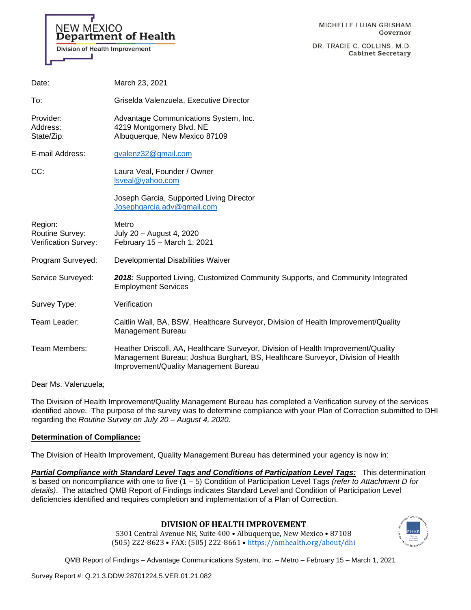

DR. TRACIE C. COLLINS, M.D. **Cabinet Secretary** 

| Date:                                              | March 23, 2021                                                                                                                                                                                                       |
|----------------------------------------------------|----------------------------------------------------------------------------------------------------------------------------------------------------------------------------------------------------------------------|
| To:                                                | Griselda Valenzuela, Executive Director                                                                                                                                                                              |
| Provider:<br>Address:<br>State/Zip:                | Advantage Communications System, Inc.<br>4219 Montgomery Blvd. NE<br>Albuquerque, New Mexico 87109                                                                                                                   |
| E-mail Address:                                    | gvalenz32@gmail.com                                                                                                                                                                                                  |
| CC:                                                | Laura Veal, Founder / Owner<br>Isveal@yahoo.com                                                                                                                                                                      |
|                                                    | Joseph Garcia, Supported Living Director<br>Josephgarcia.adv@gmail.com                                                                                                                                               |
| Region:<br>Routine Survey:<br>Verification Survey: | Metro<br>July 20 - August 4, 2020<br>February 15 - March 1, 2021                                                                                                                                                     |
| Program Surveyed:                                  | Developmental Disabilities Waiver                                                                                                                                                                                    |
| Service Surveyed:                                  | 2018: Supported Living, Customized Community Supports, and Community Integrated<br><b>Employment Services</b>                                                                                                        |
| Survey Type:                                       | Verification                                                                                                                                                                                                         |
| Team Leader:                                       | Caitlin Wall, BA, BSW, Healthcare Surveyor, Division of Health Improvement/Quality<br>Management Bureau                                                                                                              |
| Team Members:                                      | Heather Driscoll, AA, Healthcare Surveyor, Division of Health Improvement/Quality<br>Management Bureau; Joshua Burghart, BS, Healthcare Surveyor, Division of Health<br><b>Improvement/Quality Management Bureau</b> |

Dear Ms. Valenzuela;

The Division of Health Improvement/Quality Management Bureau has completed a Verification survey of the services identified above. The purpose of the survey was to determine compliance with your Plan of Correction submitted to DHI regarding the *Routine Survey on July 20 – August 4, 2020.*

## **Determination of Compliance:**

The Division of Health Improvement, Quality Management Bureau has determined your agency is now in:

*Partial Compliance with Standard Level Tags and Conditions of Participation Level Tags:* This determination is based on noncompliance with one to five (1 – 5) Condition of Participation Level Tags *(refer to Attachment D for details)*. The attached QMB Report of Findings indicates Standard Level and Condition of Participation Level deficiencies identified and requires completion and implementation of a Plan of Correction.

## **DIVISION OF HEALTH IMPROVEMENT**

5301 Central Avenue NE, Suite 400 • Albuquerque, New Mexico • 87108 (505) 222-8623 • FAX: (505) 222-8661 • <https://nmhealth.org/about/dhi>

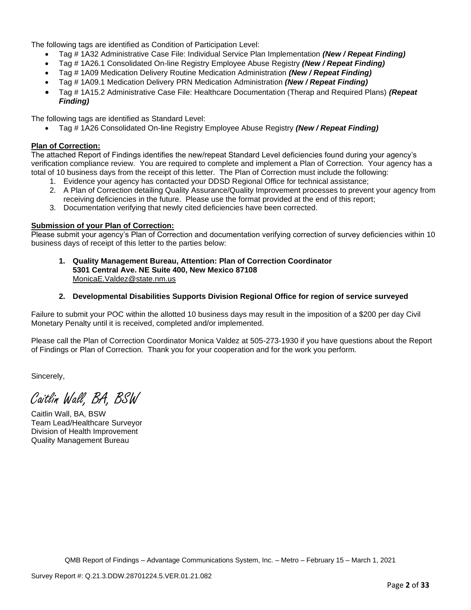The following tags are identified as Condition of Participation Level:

- Tag # 1A32 Administrative Case File: Individual Service Plan Implementation *(New / Repeat Finding)*
- Tag # 1A26.1 Consolidated On-line Registry Employee Abuse Registry *(New / Repeat Finding)*
- Tag # 1A09 Medication Delivery Routine Medication Administration *(New / Repeat Finding)*
- Tag # 1A09.1 Medication Delivery PRN Medication Administration *(New / Repeat Finding)*
- Tag # 1A15.2 Administrative Case File: Healthcare Documentation (Therap and Required Plans) *(Repeat Finding)*

The following tags are identified as Standard Level:

• Tag # 1A26 Consolidated On-line Registry Employee Abuse Registry *(New / Repeat Finding)*

## **Plan of Correction:**

The attached Report of Findings identifies the new/repeat Standard Level deficiencies found during your agency's verification compliance review. You are required to complete and implement a Plan of Correction. Your agency has a total of 10 business days from the receipt of this letter. The Plan of Correction must include the following:

- 1. Evidence your agency has contacted your DDSD Regional Office for technical assistance;
- 2. A Plan of Correction detailing Quality Assurance/Quality Improvement processes to prevent your agency from receiving deficiencies in the future. Please use the format provided at the end of this report;
- 3. Documentation verifying that newly cited deficiencies have been corrected.

## **Submission of your Plan of Correction:**

Please submit your agency's Plan of Correction and documentation verifying correction of survey deficiencies within 10 business days of receipt of this letter to the parties below:

**1. Quality Management Bureau, Attention: Plan of Correction Coordinator 5301 Central Ave. NE Suite 400, New Mexico 87108** [MonicaE.Valdez@state.nm.us](mailto:MonicaE.Valdez@state.nm.us)

## **2. Developmental Disabilities Supports Division Regional Office for region of service surveyed**

Failure to submit your POC within the allotted 10 business days may result in the imposition of a \$200 per day Civil Monetary Penalty until it is received, completed and/or implemented.

Please call the Plan of Correction Coordinator Monica Valdez at 505-273-1930 if you have questions about the Report of Findings or Plan of Correction. Thank you for your cooperation and for the work you perform.

Sincerely,

Caitlin Wall, BA, BSW

Caitlin Wall, BA, BSW Team Lead/Healthcare Surveyor Division of Health Improvement Quality Management Bureau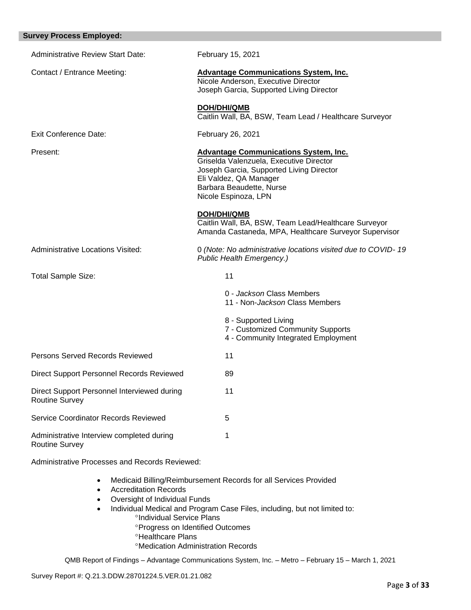| <b>Survey Process Employed:</b>                                      |                                                                                                                                                                                                                   |
|----------------------------------------------------------------------|-------------------------------------------------------------------------------------------------------------------------------------------------------------------------------------------------------------------|
| <b>Administrative Review Start Date:</b>                             | February 15, 2021                                                                                                                                                                                                 |
| Contact / Entrance Meeting:                                          | <b>Advantage Communications System, Inc.</b><br>Nicole Anderson, Executive Director<br>Joseph Garcia, Supported Living Director                                                                                   |
|                                                                      | <b>DOH/DHI/QMB</b><br>Caitlin Wall, BA, BSW, Team Lead / Healthcare Surveyor                                                                                                                                      |
| Exit Conference Date:                                                | February 26, 2021                                                                                                                                                                                                 |
| Present:                                                             | <b>Advantage Communications System, Inc.</b><br>Griselda Valenzuela, Executive Director<br>Joseph Garcia, Supported Living Director<br>Eli Valdez, QA Manager<br>Barbara Beaudette, Nurse<br>Nicole Espinoza, LPN |
|                                                                      | <b>DOH/DHI/QMB</b><br>Caitlin Wall, BA, BSW, Team Lead/Healthcare Surveyor<br>Amanda Castaneda, MPA, Healthcare Surveyor Supervisor                                                                               |
| <b>Administrative Locations Visited:</b>                             | 0 (Note: No administrative locations visited due to COVID-19<br>Public Health Emergency.)                                                                                                                         |
| Total Sample Size:                                                   | 11                                                                                                                                                                                                                |
|                                                                      | 0 - Jackson Class Members<br>11 - Non-Jackson Class Members                                                                                                                                                       |
|                                                                      | 8 - Supported Living<br>7 - Customized Community Supports<br>4 - Community Integrated Employment                                                                                                                  |
| Persons Served Records Reviewed                                      | 11                                                                                                                                                                                                                |
| Direct Support Personnel Records Reviewed                            | 89                                                                                                                                                                                                                |
| Direct Support Personnel Interviewed during<br><b>Routine Survey</b> | 11                                                                                                                                                                                                                |
| Service Coordinator Records Reviewed                                 | 5                                                                                                                                                                                                                 |
| Administrative Interview completed during<br><b>Routine Survey</b>   | 1                                                                                                                                                                                                                 |

Administrative Processes and Records Reviewed:

- Medicaid Billing/Reimbursement Records for all Services Provided
- Accreditation Records
- Oversight of Individual Funds
- Individual Medical and Program Case Files, including, but not limited to:
	- <sup>o</sup>Individual Service Plans
		- **Progress on Identified Outcomes**
	- **<sup>o</sup>Healthcare Plans**
	- Medication Administration Records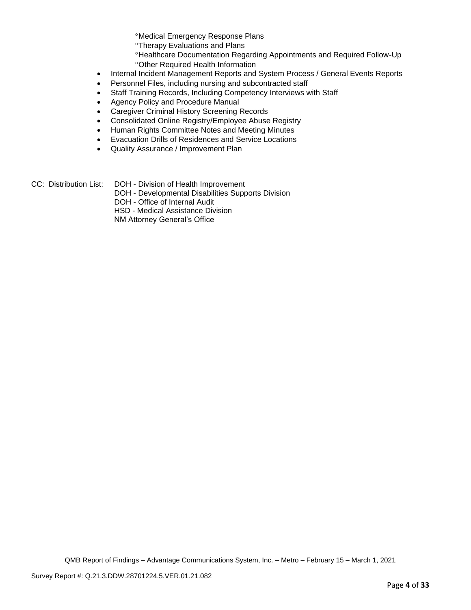Medical Emergency Response Plans

Therapy Evaluations and Plans

- Healthcare Documentation Regarding Appointments and Required Follow-Up Other Required Health Information
- Internal Incident Management Reports and System Process / General Events Reports
- Personnel Files, including nursing and subcontracted staff
- Staff Training Records, Including Competency Interviews with Staff
- Agency Policy and Procedure Manual
- Caregiver Criminal History Screening Records
- Consolidated Online Registry/Employee Abuse Registry
- Human Rights Committee Notes and Meeting Minutes
- Evacuation Drills of Residences and Service Locations
- Quality Assurance / Improvement Plan
- CC: Distribution List: DOH Division of Health Improvement
	- DOH Developmental Disabilities Supports Division
	- DOH Office of Internal Audit

HSD - Medical Assistance Division

NM Attorney General's Office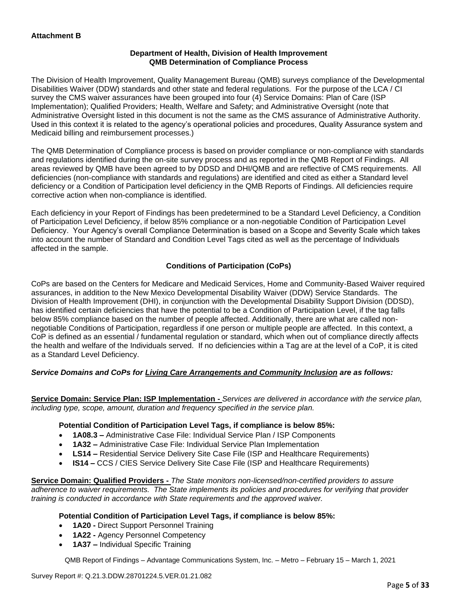## **Department of Health, Division of Health Improvement QMB Determination of Compliance Process**

The Division of Health Improvement, Quality Management Bureau (QMB) surveys compliance of the Developmental Disabilities Waiver (DDW) standards and other state and federal regulations. For the purpose of the LCA / CI survey the CMS waiver assurances have been grouped into four (4) Service Domains: Plan of Care (ISP Implementation); Qualified Providers; Health, Welfare and Safety; and Administrative Oversight (note that Administrative Oversight listed in this document is not the same as the CMS assurance of Administrative Authority. Used in this context it is related to the agency's operational policies and procedures, Quality Assurance system and Medicaid billing and reimbursement processes.)

The QMB Determination of Compliance process is based on provider compliance or non-compliance with standards and regulations identified during the on-site survey process and as reported in the QMB Report of Findings. All areas reviewed by QMB have been agreed to by DDSD and DHI/QMB and are reflective of CMS requirements. All deficiencies (non-compliance with standards and regulations) are identified and cited as either a Standard level deficiency or a Condition of Participation level deficiency in the QMB Reports of Findings. All deficiencies require corrective action when non-compliance is identified.

Each deficiency in your Report of Findings has been predetermined to be a Standard Level Deficiency, a Condition of Participation Level Deficiency, if below 85% compliance or a non-negotiable Condition of Participation Level Deficiency. Your Agency's overall Compliance Determination is based on a Scope and Severity Scale which takes into account the number of Standard and Condition Level Tags cited as well as the percentage of Individuals affected in the sample.

## **Conditions of Participation (CoPs)**

CoPs are based on the Centers for Medicare and Medicaid Services, Home and Community-Based Waiver required assurances, in addition to the New Mexico Developmental Disability Waiver (DDW) Service Standards. The Division of Health Improvement (DHI), in conjunction with the Developmental Disability Support Division (DDSD), has identified certain deficiencies that have the potential to be a Condition of Participation Level, if the tag falls below 85% compliance based on the number of people affected. Additionally, there are what are called nonnegotiable Conditions of Participation, regardless if one person or multiple people are affected. In this context, a CoP is defined as an essential / fundamental regulation or standard, which when out of compliance directly affects the health and welfare of the Individuals served. If no deficiencies within a Tag are at the level of a CoP, it is cited as a Standard Level Deficiency.

## *Service Domains and CoPs for Living Care Arrangements and Community Inclusion are as follows:*

**Service Domain: Service Plan: ISP Implementation -** *Services are delivered in accordance with the service plan, including type, scope, amount, duration and frequency specified in the service plan.*

## **Potential Condition of Participation Level Tags, if compliance is below 85%:**

- **1A08.3 –** Administrative Case File: Individual Service Plan / ISP Components
- **1A32 –** Administrative Case File: Individual Service Plan Implementation
- **LS14 –** Residential Service Delivery Site Case File (ISP and Healthcare Requirements)
- **IS14 –** CCS / CIES Service Delivery Site Case File (ISP and Healthcare Requirements)

**Service Domain: Qualified Providers -** *The State monitors non-licensed/non-certified providers to assure adherence to waiver requirements. The State implements its policies and procedures for verifying that provider training is conducted in accordance with State requirements and the approved waiver.*

## **Potential Condition of Participation Level Tags, if compliance is below 85%:**

- **1A20 -** Direct Support Personnel Training
- **1A22 -** Agency Personnel Competency
- **1A37 –** Individual Specific Training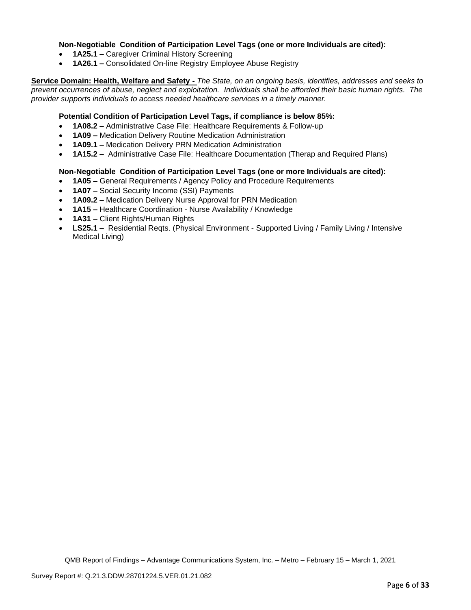## **Non-Negotiable Condition of Participation Level Tags (one or more Individuals are cited):**

- **1A25.1 –** Caregiver Criminal History Screening
- **1A26.1 –** Consolidated On-line Registry Employee Abuse Registry

**Service Domain: Health, Welfare and Safety -** *The State, on an ongoing basis, identifies, addresses and seeks to prevent occurrences of abuse, neglect and exploitation. Individuals shall be afforded their basic human rights. The provider supports individuals to access needed healthcare services in a timely manner.*

## **Potential Condition of Participation Level Tags, if compliance is below 85%:**

- **1A08.2 –** Administrative Case File: Healthcare Requirements & Follow-up
- **1A09 –** Medication Delivery Routine Medication Administration
- **1A09.1 –** Medication Delivery PRN Medication Administration
- **1A15.2 –** Administrative Case File: Healthcare Documentation (Therap and Required Plans)

## **Non-Negotiable Condition of Participation Level Tags (one or more Individuals are cited):**

- **1A05 –** General Requirements / Agency Policy and Procedure Requirements
- **1A07 –** Social Security Income (SSI) Payments
- **1A09.2 –** Medication Delivery Nurse Approval for PRN Medication
- **1A15 –** Healthcare Coordination Nurse Availability / Knowledge
- **1A31 –** Client Rights/Human Rights
- **LS25.1 –** Residential Reqts. (Physical Environment Supported Living / Family Living / Intensive Medical Living)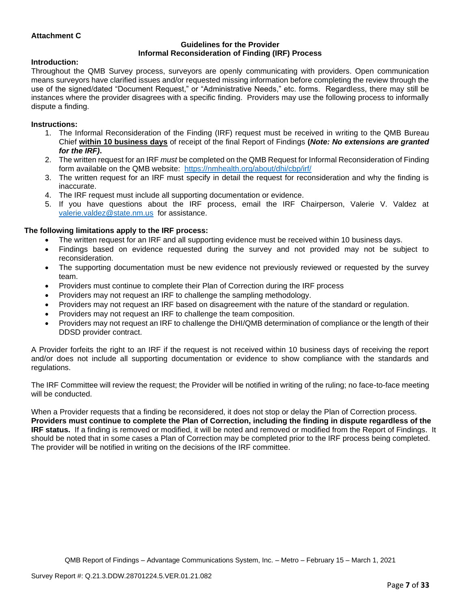## **Attachment C**

#### **Guidelines for the Provider Informal Reconsideration of Finding (IRF) Process**

## **Introduction:**

Throughout the QMB Survey process, surveyors are openly communicating with providers. Open communication means surveyors have clarified issues and/or requested missing information before completing the review through the use of the signed/dated "Document Request," or "Administrative Needs," etc. forms. Regardless, there may still be instances where the provider disagrees with a specific finding. Providers may use the following process to informally dispute a finding.

#### **Instructions:**

- 1. The Informal Reconsideration of the Finding (IRF) request must be received in writing to the QMB Bureau Chief **within 10 business days** of receipt of the final Report of Findings **(***Note: No extensions are granted for the IRF)***.**
- 2. The written request for an IRF *must* be completed on the QMB Request for Informal Reconsideration of Finding form available on the QMB website: <https://nmhealth.org/about/dhi/cbp/irf/>
- 3. The written request for an IRF must specify in detail the request for reconsideration and why the finding is inaccurate.
- 4. The IRF request must include all supporting documentation or evidence.
- 5. If you have questions about the IRF process, email the IRF Chairperson, Valerie V. Valdez at [valerie.valdez@state.nm.us](mailto:valerie.valdez@state.nm.us) for assistance.

## **The following limitations apply to the IRF process:**

- The written request for an IRF and all supporting evidence must be received within 10 business days.
- Findings based on evidence requested during the survey and not provided may not be subject to reconsideration.
- The supporting documentation must be new evidence not previously reviewed or requested by the survey team.
- Providers must continue to complete their Plan of Correction during the IRF process
- Providers may not request an IRF to challenge the sampling methodology.
- Providers may not request an IRF based on disagreement with the nature of the standard or regulation.
- Providers may not request an IRF to challenge the team composition.
- Providers may not request an IRF to challenge the DHI/QMB determination of compliance or the length of their DDSD provider contract.

A Provider forfeits the right to an IRF if the request is not received within 10 business days of receiving the report and/or does not include all supporting documentation or evidence to show compliance with the standards and regulations.

The IRF Committee will review the request; the Provider will be notified in writing of the ruling; no face-to-face meeting will be conducted.

When a Provider requests that a finding be reconsidered, it does not stop or delay the Plan of Correction process. **Providers must continue to complete the Plan of Correction, including the finding in dispute regardless of the IRF status.** If a finding is removed or modified, it will be noted and removed or modified from the Report of Findings. It should be noted that in some cases a Plan of Correction may be completed prior to the IRF process being completed. The provider will be notified in writing on the decisions of the IRF committee.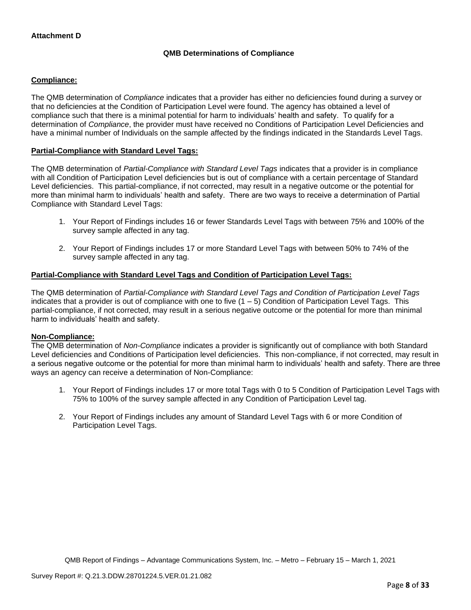## **QMB Determinations of Compliance**

## **Compliance:**

The QMB determination of *Compliance* indicates that a provider has either no deficiencies found during a survey or that no deficiencies at the Condition of Participation Level were found. The agency has obtained a level of compliance such that there is a minimal potential for harm to individuals' health and safety. To qualify for a determination of *Compliance*, the provider must have received no Conditions of Participation Level Deficiencies and have a minimal number of Individuals on the sample affected by the findings indicated in the Standards Level Tags.

## **Partial-Compliance with Standard Level Tags:**

The QMB determination of *Partial-Compliance with Standard Level Tags* indicates that a provider is in compliance with all Condition of Participation Level deficiencies but is out of compliance with a certain percentage of Standard Level deficiencies. This partial-compliance, if not corrected, may result in a negative outcome or the potential for more than minimal harm to individuals' health and safety. There are two ways to receive a determination of Partial Compliance with Standard Level Tags:

- 1. Your Report of Findings includes 16 or fewer Standards Level Tags with between 75% and 100% of the survey sample affected in any tag.
- 2. Your Report of Findings includes 17 or more Standard Level Tags with between 50% to 74% of the survey sample affected in any tag.

## **Partial-Compliance with Standard Level Tags and Condition of Participation Level Tags:**

The QMB determination of *Partial-Compliance with Standard Level Tags and Condition of Participation Level Tags*  indicates that a provider is out of compliance with one to five  $(1 - 5)$  Condition of Participation Level Tags. This partial-compliance, if not corrected, may result in a serious negative outcome or the potential for more than minimal harm to individuals' health and safety.

## **Non-Compliance:**

The QMB determination of *Non-Compliance* indicates a provider is significantly out of compliance with both Standard Level deficiencies and Conditions of Participation level deficiencies. This non-compliance, if not corrected, may result in a serious negative outcome or the potential for more than minimal harm to individuals' health and safety. There are three ways an agency can receive a determination of Non-Compliance:

- 1. Your Report of Findings includes 17 or more total Tags with 0 to 5 Condition of Participation Level Tags with 75% to 100% of the survey sample affected in any Condition of Participation Level tag.
- 2. Your Report of Findings includes any amount of Standard Level Tags with 6 or more Condition of Participation Level Tags.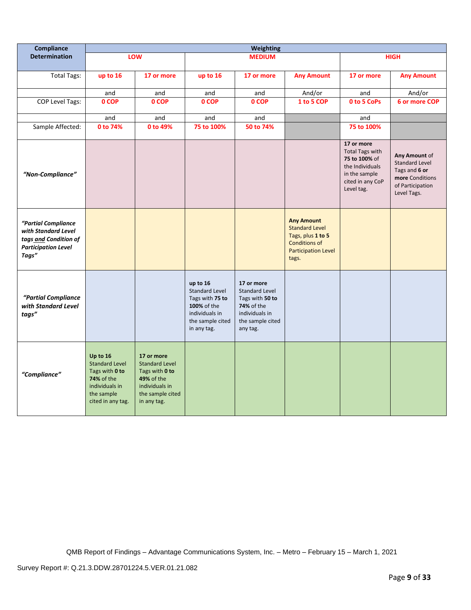| <b>Compliance</b>                                                                                          | Weighting                                                                                                              |                                                                                                                                 |                                                                                                                          |                                                                                                                               |                                                                                                                                |                                                                                                                             |                                                                                                               |
|------------------------------------------------------------------------------------------------------------|------------------------------------------------------------------------------------------------------------------------|---------------------------------------------------------------------------------------------------------------------------------|--------------------------------------------------------------------------------------------------------------------------|-------------------------------------------------------------------------------------------------------------------------------|--------------------------------------------------------------------------------------------------------------------------------|-----------------------------------------------------------------------------------------------------------------------------|---------------------------------------------------------------------------------------------------------------|
| <b>Determination</b>                                                                                       |                                                                                                                        | LOW                                                                                                                             |                                                                                                                          | <b>MEDIUM</b>                                                                                                                 |                                                                                                                                |                                                                                                                             | <b>HIGH</b>                                                                                                   |
| <b>Total Tags:</b>                                                                                         | up to 16                                                                                                               | 17 or more                                                                                                                      | up to 16                                                                                                                 | 17 or more                                                                                                                    | <b>Any Amount</b>                                                                                                              | 17 or more                                                                                                                  | <b>Any Amount</b>                                                                                             |
|                                                                                                            | and                                                                                                                    | and                                                                                                                             | and                                                                                                                      | and                                                                                                                           | And/or                                                                                                                         | and                                                                                                                         | And/or                                                                                                        |
| COP Level Tags:                                                                                            | 0 COP                                                                                                                  | 0 COP                                                                                                                           | 0 COP                                                                                                                    | 0 COP                                                                                                                         | 1 to 5 COP                                                                                                                     | 0 to 5 CoPs                                                                                                                 | 6 or more COP                                                                                                 |
|                                                                                                            | and                                                                                                                    | and                                                                                                                             | and                                                                                                                      | and                                                                                                                           |                                                                                                                                | and                                                                                                                         |                                                                                                               |
| Sample Affected:                                                                                           | 0 to 74%                                                                                                               | 0 to 49%                                                                                                                        | 75 to 100%                                                                                                               | 50 to 74%                                                                                                                     |                                                                                                                                | 75 to 100%                                                                                                                  |                                                                                                               |
| "Non-Compliance"                                                                                           |                                                                                                                        |                                                                                                                                 |                                                                                                                          |                                                                                                                               |                                                                                                                                | 17 or more<br><b>Total Tags with</b><br>75 to 100% of<br>the Individuals<br>in the sample<br>cited in any CoP<br>Level tag. | Any Amount of<br><b>Standard Level</b><br>Tags and 6 or<br>more Conditions<br>of Participation<br>Level Tags. |
| "Partial Compliance<br>with Standard Level<br>tags and Condition of<br><b>Participation Level</b><br>Tags" |                                                                                                                        |                                                                                                                                 |                                                                                                                          |                                                                                                                               | <b>Any Amount</b><br><b>Standard Level</b><br>Tags, plus 1 to 5<br><b>Conditions of</b><br><b>Participation Level</b><br>tags. |                                                                                                                             |                                                                                                               |
| "Partial Compliance<br>with Standard Level<br>tags"                                                        |                                                                                                                        |                                                                                                                                 | up to 16<br><b>Standard Level</b><br>Tags with 75 to<br>100% of the<br>individuals in<br>the sample cited<br>in any tag. | 17 or more<br><b>Standard Level</b><br>Tags with 50 to<br><b>74%</b> of the<br>individuals in<br>the sample cited<br>any tag. |                                                                                                                                |                                                                                                                             |                                                                                                               |
| "Compliance"                                                                                               | Up to 16<br><b>Standard Level</b><br>Tags with 0 to<br>74% of the<br>individuals in<br>the sample<br>cited in any tag. | 17 or more<br><b>Standard Level</b><br>Tags with 0 to<br><b>49% of the</b><br>individuals in<br>the sample cited<br>in any tag. |                                                                                                                          |                                                                                                                               |                                                                                                                                |                                                                                                                             |                                                                                                               |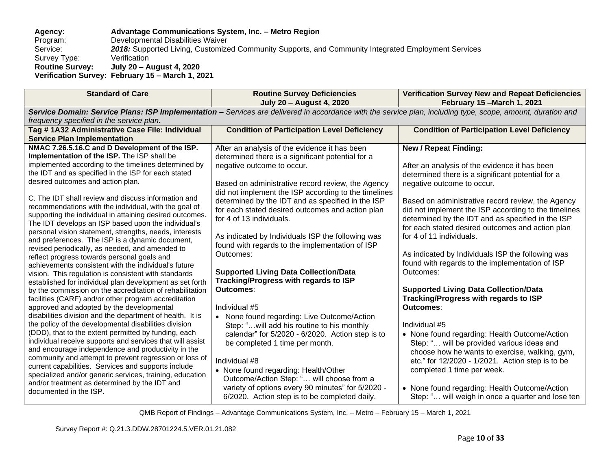## **Agency: Advantage Communications System, Inc. – Metro Region** Program: Developmental Disabilities Waiver<br>Service: 2018: Supported Living, Customize 2018: Supported Living, Customized Community Supports, and Community Integrated Employment Services<br>Verification Survey Type: **Routine Survey: July 20 – August 4, 2020 Verification Survey: February 15 – March 1, 2021**

| <b>Standard of Care</b>                                                                                                                                                                                                                                                                                                                                                                                                                                                                                                                                                                                                                                                                                                                                                                                                                                                                                                                                                                                                                                                                                                                                                                                                        | <b>Routine Survey Deficiencies</b><br><b>July 20 - August 4, 2020</b>                                                                                                                                                                                                                                                                                                                                                                                                                                                                                                                                                                                                                                                                                                                                    | <b>Verification Survey New and Repeat Deficiencies</b><br>February 15 - March 1, 2021                                                                                                                                                                                                                                                                                                                                                                                                                                                                                                                                                                                 |  |  |
|--------------------------------------------------------------------------------------------------------------------------------------------------------------------------------------------------------------------------------------------------------------------------------------------------------------------------------------------------------------------------------------------------------------------------------------------------------------------------------------------------------------------------------------------------------------------------------------------------------------------------------------------------------------------------------------------------------------------------------------------------------------------------------------------------------------------------------------------------------------------------------------------------------------------------------------------------------------------------------------------------------------------------------------------------------------------------------------------------------------------------------------------------------------------------------------------------------------------------------|----------------------------------------------------------------------------------------------------------------------------------------------------------------------------------------------------------------------------------------------------------------------------------------------------------------------------------------------------------------------------------------------------------------------------------------------------------------------------------------------------------------------------------------------------------------------------------------------------------------------------------------------------------------------------------------------------------------------------------------------------------------------------------------------------------|-----------------------------------------------------------------------------------------------------------------------------------------------------------------------------------------------------------------------------------------------------------------------------------------------------------------------------------------------------------------------------------------------------------------------------------------------------------------------------------------------------------------------------------------------------------------------------------------------------------------------------------------------------------------------|--|--|
| Service Domain: Service Plans: ISP Implementation - Services are delivered in accordance with the service plan, including type, scope, amount, duration and<br>frequency specified in the service plan.                                                                                                                                                                                                                                                                                                                                                                                                                                                                                                                                                                                                                                                                                                                                                                                                                                                                                                                                                                                                                        |                                                                                                                                                                                                                                                                                                                                                                                                                                                                                                                                                                                                                                                                                                                                                                                                          |                                                                                                                                                                                                                                                                                                                                                                                                                                                                                                                                                                                                                                                                       |  |  |
| Tag # 1A32 Administrative Case File: Individual                                                                                                                                                                                                                                                                                                                                                                                                                                                                                                                                                                                                                                                                                                                                                                                                                                                                                                                                                                                                                                                                                                                                                                                | <b>Condition of Participation Level Deficiency</b>                                                                                                                                                                                                                                                                                                                                                                                                                                                                                                                                                                                                                                                                                                                                                       | <b>Condition of Participation Level Deficiency</b>                                                                                                                                                                                                                                                                                                                                                                                                                                                                                                                                                                                                                    |  |  |
| <b>Service Plan Implementation</b>                                                                                                                                                                                                                                                                                                                                                                                                                                                                                                                                                                                                                                                                                                                                                                                                                                                                                                                                                                                                                                                                                                                                                                                             |                                                                                                                                                                                                                                                                                                                                                                                                                                                                                                                                                                                                                                                                                                                                                                                                          |                                                                                                                                                                                                                                                                                                                                                                                                                                                                                                                                                                                                                                                                       |  |  |
| NMAC 7.26.5.16.C and D Development of the ISP.<br>Implementation of the ISP. The ISP shall be<br>implemented according to the timelines determined by<br>the IDT and as specified in the ISP for each stated<br>desired outcomes and action plan.<br>C. The IDT shall review and discuss information and<br>recommendations with the individual, with the goal of<br>supporting the individual in attaining desired outcomes.<br>The IDT develops an ISP based upon the individual's<br>personal vision statement, strengths, needs, interests<br>and preferences. The ISP is a dynamic document,<br>revised periodically, as needed, and amended to<br>reflect progress towards personal goals and<br>achievements consistent with the individual's future<br>vision. This regulation is consistent with standards<br>established for individual plan development as set forth<br>by the commission on the accreditation of rehabilitation<br>facilities (CARF) and/or other program accreditation<br>approved and adopted by the developmental<br>disabilities division and the department of health. It is<br>the policy of the developmental disabilities division<br>(DDD), that to the extent permitted by funding, each | After an analysis of the evidence it has been<br>determined there is a significant potential for a<br>negative outcome to occur.<br>Based on administrative record review, the Agency<br>did not implement the ISP according to the timelines<br>determined by the IDT and as specified in the ISP<br>for each stated desired outcomes and action plan<br>for 4 of 13 individuals.<br>As indicated by Individuals ISP the following was<br>found with regards to the implementation of ISP<br>Outcomes:<br><b>Supported Living Data Collection/Data</b><br><b>Tracking/Progress with regards to ISP</b><br><b>Outcomes:</b><br>Individual #5<br>None found regarding: Live Outcome/Action<br>$\bullet$<br>Step: "will add his routine to his monthly<br>calendar" for 5/2020 - 6/2020. Action step is to | <b>New / Repeat Finding:</b><br>After an analysis of the evidence it has been<br>determined there is a significant potential for a<br>negative outcome to occur.<br>Based on administrative record review, the Agency<br>did not implement the ISP according to the timelines<br>determined by the IDT and as specified in the ISP<br>for each stated desired outcomes and action plan<br>for 4 of 11 individuals.<br>As indicated by Individuals ISP the following was<br>found with regards to the implementation of ISP<br>Outcomes:<br><b>Supported Living Data Collection/Data</b><br><b>Tracking/Progress with regards to ISP</b><br>Outcomes:<br>Individual #5 |  |  |
| individual receive supports and services that will assist<br>and encourage independence and productivity in the<br>community and attempt to prevent regression or loss of<br>current capabilities. Services and supports include                                                                                                                                                                                                                                                                                                                                                                                                                                                                                                                                                                                                                                                                                                                                                                                                                                                                                                                                                                                               | be completed 1 time per month.<br>Individual #8<br>• None found regarding: Health/Other                                                                                                                                                                                                                                                                                                                                                                                                                                                                                                                                                                                                                                                                                                                  | • None found regarding: Health Outcome/Action<br>Step: " will be provided various ideas and<br>choose how he wants to exercise, walking, gym,<br>etc." for 12/2020 - 1/2021. Action step is to be<br>completed 1 time per week.                                                                                                                                                                                                                                                                                                                                                                                                                                       |  |  |
| specialized and/or generic services, training, education<br>and/or treatment as determined by the IDT and<br>documented in the ISP.                                                                                                                                                                                                                                                                                                                                                                                                                                                                                                                                                                                                                                                                                                                                                                                                                                                                                                                                                                                                                                                                                            | Outcome/Action Step: " will choose from a<br>variety of options every 90 minutes" for 5/2020 -<br>6/2020. Action step is to be completed daily.                                                                                                                                                                                                                                                                                                                                                                                                                                                                                                                                                                                                                                                          | • None found regarding: Health Outcome/Action<br>Step: " will weigh in once a quarter and lose ten                                                                                                                                                                                                                                                                                                                                                                                                                                                                                                                                                                    |  |  |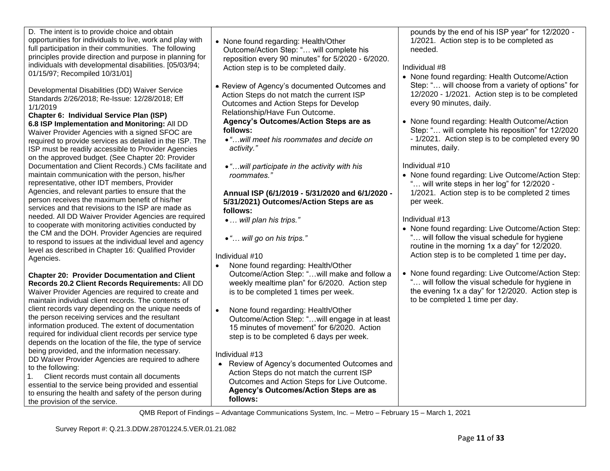| D. The intent is to provide choice and obtain<br>opportunities for individuals to live, work and play with<br>full participation in their communities. The following<br>principles provide direction and purpose in planning for<br>individuals with developmental disabilities. [05/03/94;<br>01/15/97; Recompiled 10/31/01]<br>Developmental Disabilities (DD) Waiver Service<br>Standards 2/26/2018; Re-Issue: 12/28/2018; Eff<br>1/1/2019<br>Chapter 6: Individual Service Plan (ISP)<br>6.8 ISP Implementation and Monitoring: All DD<br>Waiver Provider Agencies with a signed SFOC are<br>required to provide services as detailed in the ISP. The<br>ISP must be readily accessible to Provider Agencies<br>on the approved budget. (See Chapter 20: Provider<br>Documentation and Client Records.) CMs facilitate and<br>maintain communication with the person, his/her<br>representative, other IDT members, Provider<br>Agencies, and relevant parties to ensure that the<br>person receives the maximum benefit of his/her<br>services and that revisions to the ISP are made as<br>needed. All DD Waiver Provider Agencies are required<br>to cooperate with monitoring activities conducted by<br>the CM and the DOH. Provider Agencies are required<br>to respond to issues at the individual level and agency<br>level as described in Chapter 16: Qualified Provider<br>Agencies.<br><b>Chapter 20: Provider Documentation and Client</b><br>Records 20.2 Client Records Requirements: All DD<br>Waiver Provider Agencies are required to create and<br>maintain individual client records. The contents of<br>client records vary depending on the unique needs of<br>the person receiving services and the resultant<br>information produced. The extent of documentation<br>required for individual client records per service type<br>depends on the location of the file, the type of service<br>being provided, and the information necessary. | • None found regarding: Health/Other<br>Outcome/Action Step: " will complete his<br>reposition every 90 minutes" for 5/2020 - 6/2020.<br>Action step is to be completed daily.<br>• Review of Agency's documented Outcomes and<br>Action Steps do not match the current ISP<br>Outcomes and Action Steps for Develop<br>Relationship/Have Fun Outcome.<br>Agency's Outcomes/Action Steps are as<br>follows:<br>. " will meet his roommates and decide on<br>activity."<br>• " will participate in the activity with his<br>roommates."<br>Annual ISP (6/1/2019 - 5/31/2020 and 6/1/2020 -<br>5/31/2021) Outcomes/Action Steps are as<br>follows:<br>•  will plan his trips."<br>. " will go on his trips."<br>Individual #10<br>$\bullet$<br>None found regarding: Health/Other<br>Outcome/Action Step: " will make and follow a<br>weekly mealtime plan" for 6/2020. Action step<br>is to be completed 1 times per week.<br>None found regarding: Health/Other<br>$\bullet$<br>Outcome/Action Step: "will engage in at least<br>15 minutes of movement" for 6/2020. Action<br>step is to be completed 6 days per week.<br>Individual #13 | pounds by the end of his ISP year" for 12/2020 -<br>1/2021. Action step is to be completed as<br>needed.<br>Individual #8<br>• None found regarding: Health Outcome/Action<br>Step: " will choose from a variety of options" for<br>12/2020 - 1/2021. Action step is to be completed<br>every 90 minutes, daily.<br>• None found regarding: Health Outcome/Action<br>Step: " will complete his reposition" for 12/2020<br>- 1/2021. Action step is to be completed every 90<br>minutes, daily.<br>Individual #10<br>• None found regarding: Live Outcome/Action Step:<br>" will write steps in her log" for 12/2020 -<br>1/2021. Action step is to be completed 2 times<br>per week.<br>Individual #13<br>• None found regarding: Live Outcome/Action Step:<br>will follow the visual schedule for hygiene<br>routine in the morning 1x a day" for 12/2020.<br>Action step is to be completed 1 time per day.<br>• None found regarding: Live Outcome/Action Step:<br>will follow the visual schedule for hygiene in<br>the evening 1x a day" for 12/2020. Action step is<br>to be completed 1 time per day. |
|------------------------------------------------------------------------------------------------------------------------------------------------------------------------------------------------------------------------------------------------------------------------------------------------------------------------------------------------------------------------------------------------------------------------------------------------------------------------------------------------------------------------------------------------------------------------------------------------------------------------------------------------------------------------------------------------------------------------------------------------------------------------------------------------------------------------------------------------------------------------------------------------------------------------------------------------------------------------------------------------------------------------------------------------------------------------------------------------------------------------------------------------------------------------------------------------------------------------------------------------------------------------------------------------------------------------------------------------------------------------------------------------------------------------------------------------------------------------------------------------------------------------------------------------------------------------------------------------------------------------------------------------------------------------------------------------------------------------------------------------------------------------------------------------------------------------------------------------------------------------------------------------------------------------------------------------------------------------|-------------------------------------------------------------------------------------------------------------------------------------------------------------------------------------------------------------------------------------------------------------------------------------------------------------------------------------------------------------------------------------------------------------------------------------------------------------------------------------------------------------------------------------------------------------------------------------------------------------------------------------------------------------------------------------------------------------------------------------------------------------------------------------------------------------------------------------------------------------------------------------------------------------------------------------------------------------------------------------------------------------------------------------------------------------------------------------------------------------------------------------------|--------------------------------------------------------------------------------------------------------------------------------------------------------------------------------------------------------------------------------------------------------------------------------------------------------------------------------------------------------------------------------------------------------------------------------------------------------------------------------------------------------------------------------------------------------------------------------------------------------------------------------------------------------------------------------------------------------------------------------------------------------------------------------------------------------------------------------------------------------------------------------------------------------------------------------------------------------------------------------------------------------------------------------------------------------------------------------------------------------------|
| DD Waiver Provider Agencies are required to adhere<br>to the following:<br>Client records must contain all documents<br>1.<br>essential to the service being provided and essential<br>to ensuring the health and safety of the person during<br>the provision of the service.                                                                                                                                                                                                                                                                                                                                                                                                                                                                                                                                                                                                                                                                                                                                                                                                                                                                                                                                                                                                                                                                                                                                                                                                                                                                                                                                                                                                                                                                                                                                                                                                                                                                                         | • Review of Agency's documented Outcomes and<br>Action Steps do not match the current ISP<br>Outcomes and Action Steps for Live Outcome.<br>Agency's Outcomes/Action Steps are as<br>follows:                                                                                                                                                                                                                                                                                                                                                                                                                                                                                                                                                                                                                                                                                                                                                                                                                                                                                                                                             |                                                                                                                                                                                                                                                                                                                                                                                                                                                                                                                                                                                                                                                                                                                                                                                                                                                                                                                                                                                                                                                                                                              |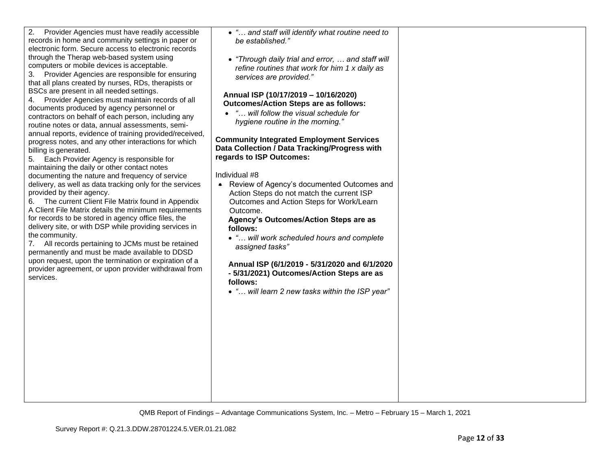| The current Client File Matrix found in Appendix<br>6.<br>A Client File Matrix details the minimum requirements<br>for records to be stored in agency office files, the<br>delivery site, or with DSP while providing services in<br>the community.<br>All records pertaining to JCMs must be retained<br>7.<br>permanently and must be made available to DDSD<br>upon request, upon the termination or expiration of a<br>provider agreement, or upon provider withdrawal from<br>services. | Outcomes and Action Steps for Work/Learn<br>Outcome.<br>Agency's Outcomes/Action Steps are as<br>follows:<br>• " will work scheduled hours and complete<br>assigned tasks"<br>Annual ISP (6/1/2019 - 5/31/2020 and 6/1/2020<br>- 5/31/2021) Outcomes/Action Steps are as<br>follows:<br>• " will learn 2 new tasks within the ISP year" |      |
|----------------------------------------------------------------------------------------------------------------------------------------------------------------------------------------------------------------------------------------------------------------------------------------------------------------------------------------------------------------------------------------------------------------------------------------------------------------------------------------------|-----------------------------------------------------------------------------------------------------------------------------------------------------------------------------------------------------------------------------------------------------------------------------------------------------------------------------------------|------|
|                                                                                                                                                                                                                                                                                                                                                                                                                                                                                              | QMB Report of Findings – Advantage Communications System, Inc. – Metro – February 15 – March 1, 2021                                                                                                                                                                                                                                    |      |
| Survey Report #: Q.21.3.DDW.28701224.5.VER.01.21.082                                                                                                                                                                                                                                                                                                                                                                                                                                         |                                                                                                                                                                                                                                                                                                                                         | Page |

• *"… and staff will identify what routine need to* 

• *"Through daily trial and error, … and staff will refine routines that work for him 1 x daily as* 

*be established."* 

**regards to ISP Outcomes:** 

Individual #8

*services are provided."*

**Annual ISP (10/17/2019 – 10/16/2020) Outcomes/Action Steps are as follows:** • *"… will follow the visual schedule for hygiene routine in the morning."*

**Community Integrated Employment Services Data Collection / Data Tracking/Progress with** 

• Review of Agency's documented Outcomes and Action Steps do not match the current ISP

2. Provider Agencies must have readily accessible records in home and community settings in paper or electronic form. Secure access to electronic records through the Therap web-based system using computers or mobile devices is acceptable.

3. Provider Agencies are responsible for ensuring that all plans created by nurses, RDs, therapists or

4. Provider Agencies must maintain records of all documents produced by agency personnel or contractors on behalf of each person, including any routine notes or data, annual assessments, semiannual reports, evidence of training provided/received, progress notes, and any other interactions for which

BSCs are present in all needed settings.

5. Each Provider Agency is responsible for maintaining the daily or other contact notes documenting the nature and frequency of service delivery, as well as data tracking only for the services

billing is generated.

provided by their agency.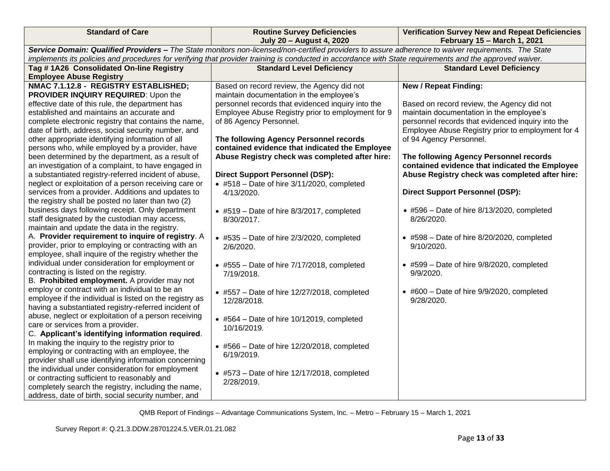| <b>Standard of Care</b>                                                                                                                                                                                             | <b>Routine Survey Deficiencies</b><br><b>July 20 - August 4, 2020</b>                                                                       | <b>Verification Survey New and Repeat Deficiencies</b><br>February 15 - March 1, 2021                                                                                         |  |  |  |
|---------------------------------------------------------------------------------------------------------------------------------------------------------------------------------------------------------------------|---------------------------------------------------------------------------------------------------------------------------------------------|-------------------------------------------------------------------------------------------------------------------------------------------------------------------------------|--|--|--|
| Service Domain: Qualified Providers - The State monitors non-licensed/non-certified providers to assure adherence to waiver requirements. The State                                                                 |                                                                                                                                             |                                                                                                                                                                               |  |  |  |
| implements its policies and procedures for verifying that provider training is conducted in accordance with State requirements and the approved waiver.                                                             |                                                                                                                                             |                                                                                                                                                                               |  |  |  |
| Tag #1A26 Consolidated On-line Registry                                                                                                                                                                             | <b>Standard Level Deficiency</b>                                                                                                            | <b>Standard Level Deficiency</b>                                                                                                                                              |  |  |  |
| <b>Employee Abuse Registry</b>                                                                                                                                                                                      |                                                                                                                                             |                                                                                                                                                                               |  |  |  |
| NMAC 7.1.12.8 - REGISTRY ESTABLISHED;<br>PROVIDER INQUIRY REQUIRED: Upon the<br>effective date of this rule, the department has                                                                                     | Based on record review, the Agency did not<br>maintain documentation in the employee's<br>personnel records that evidenced inquiry into the | <b>New / Repeat Finding:</b><br>Based on record review, the Agency did not                                                                                                    |  |  |  |
| established and maintains an accurate and<br>complete electronic registry that contains the name,<br>date of birth, address, social security number, and<br>other appropriate identifying information of all        | Employee Abuse Registry prior to employment for 9<br>of 86 Agency Personnel.<br>The following Agency Personnel records                      | maintain documentation in the employee's<br>personnel records that evidenced inquiry into the<br>Employee Abuse Registry prior to employment for 4<br>of 94 Agency Personnel. |  |  |  |
| persons who, while employed by a provider, have<br>been determined by the department, as a result of<br>an investigation of a complaint, to have engaged in<br>a substantiated registry-referred incident of abuse, | contained evidence that indicated the Employee<br>Abuse Registry check was completed after hire:<br><b>Direct Support Personnel (DSP):</b>  | The following Agency Personnel records<br>contained evidence that indicated the Employee<br>Abuse Registry check was completed after hire:                                    |  |  |  |
| neglect or exploitation of a person receiving care or<br>services from a provider. Additions and updates to<br>the registry shall be posted no later than two (2)                                                   | $\bullet$ #518 - Date of hire 3/11/2020, completed<br>4/13/2020.                                                                            | <b>Direct Support Personnel (DSP):</b>                                                                                                                                        |  |  |  |
| business days following receipt. Only department<br>staff designated by the custodian may access,<br>maintain and update the data in the registry.                                                                  | $\bullet$ #519 - Date of hire 8/3/2017, completed<br>8/30/2017.                                                                             | $\bullet$ #596 - Date of hire 8/13/2020, completed<br>8/26/2020.                                                                                                              |  |  |  |
| A. Provider requirement to inquire of registry. A<br>provider, prior to employing or contracting with an<br>employee, shall inquire of the registry whether the                                                     | $\bullet$ #535 - Date of hire 2/3/2020, completed<br>2/6/2020.                                                                              | $\bullet$ #598 - Date of hire 8/20/2020, completed<br>9/10/2020.                                                                                                              |  |  |  |
| individual under consideration for employment or<br>contracting is listed on the registry.<br>B. Prohibited employment. A provider may not                                                                          | $\bullet$ #555 - Date of hire 7/17/2018, completed<br>7/19/2018.                                                                            | $\bullet$ #599 - Date of hire 9/8/2020, completed<br>9/9/2020.                                                                                                                |  |  |  |
| employ or contract with an individual to be an<br>employee if the individual is listed on the registry as<br>having a substantiated registry-referred incident of                                                   | $\bullet$ #557 - Date of hire 12/27/2018, completed<br>12/28/2018.                                                                          | $\bullet$ #600 - Date of hire 9/9/2020, completed<br>9/28/2020.                                                                                                               |  |  |  |
| abuse, neglect or exploitation of a person receiving<br>care or services from a provider.<br>C. Applicant's identifying information required.                                                                       | $\bullet$ #564 - Date of hire 10/12019, completed<br>10/16/2019.                                                                            |                                                                                                                                                                               |  |  |  |
| In making the inquiry to the registry prior to<br>employing or contracting with an employee, the<br>provider shall use identifying information concerning                                                           | $\bullet$ #566 - Date of hire 12/20/2018, completed<br>6/19/2019.                                                                           |                                                                                                                                                                               |  |  |  |
| the individual under consideration for employment<br>or contracting sufficient to reasonably and<br>completely search the registry, including the name,<br>address, date of birth, social security number, and      | $\bullet$ #573 - Date of hire 12/17/2018, completed<br>2/28/2019.                                                                           |                                                                                                                                                                               |  |  |  |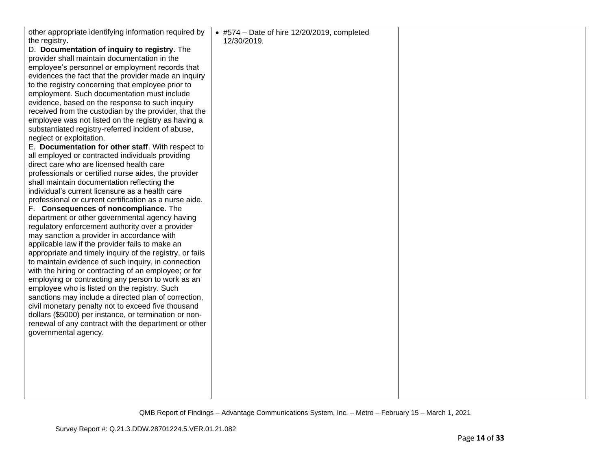| other appropriate identifying information required by                                          | $\bullet$ #574 - Date of hire 12/20/2019, completed |  |
|------------------------------------------------------------------------------------------------|-----------------------------------------------------|--|
| the registry.                                                                                  | 12/30/2019.                                         |  |
| D. Documentation of inquiry to registry. The                                                   |                                                     |  |
| provider shall maintain documentation in the                                                   |                                                     |  |
| employee's personnel or employment records that                                                |                                                     |  |
| evidences the fact that the provider made an inquiry                                           |                                                     |  |
| to the registry concerning that employee prior to                                              |                                                     |  |
| employment. Such documentation must include                                                    |                                                     |  |
| evidence, based on the response to such inquiry                                                |                                                     |  |
| received from the custodian by the provider, that the                                          |                                                     |  |
| employee was not listed on the registry as having a                                            |                                                     |  |
| substantiated registry-referred incident of abuse,                                             |                                                     |  |
| neglect or exploitation.                                                                       |                                                     |  |
| E. Documentation for other staff. With respect to                                              |                                                     |  |
| all employed or contracted individuals providing                                               |                                                     |  |
| direct care who are licensed health care                                                       |                                                     |  |
| professionals or certified nurse aides, the provider                                           |                                                     |  |
| shall maintain documentation reflecting the                                                    |                                                     |  |
| individual's current licensure as a health care                                                |                                                     |  |
| professional or current certification as a nurse aide.                                         |                                                     |  |
| F. Consequences of noncompliance. The                                                          |                                                     |  |
| department or other governmental agency having                                                 |                                                     |  |
| regulatory enforcement authority over a provider<br>may sanction a provider in accordance with |                                                     |  |
| applicable law if the provider fails to make an                                                |                                                     |  |
| appropriate and timely inquiry of the registry, or fails                                       |                                                     |  |
| to maintain evidence of such inquiry, in connection                                            |                                                     |  |
| with the hiring or contracting of an employee; or for                                          |                                                     |  |
| employing or contracting any person to work as an                                              |                                                     |  |
| employee who is listed on the registry. Such                                                   |                                                     |  |
| sanctions may include a directed plan of correction,                                           |                                                     |  |
| civil monetary penalty not to exceed five thousand                                             |                                                     |  |
| dollars (\$5000) per instance, or termination or non-                                          |                                                     |  |
| renewal of any contract with the department or other                                           |                                                     |  |
| governmental agency.                                                                           |                                                     |  |
|                                                                                                |                                                     |  |
|                                                                                                |                                                     |  |
|                                                                                                |                                                     |  |
|                                                                                                |                                                     |  |
|                                                                                                |                                                     |  |
|                                                                                                |                                                     |  |
|                                                                                                |                                                     |  |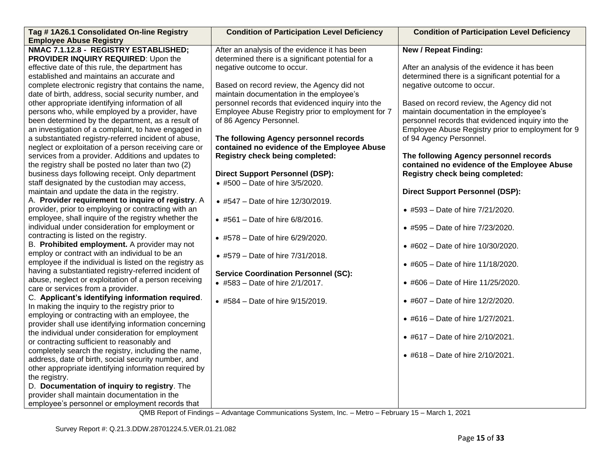| Tag # 1A26.1 Consolidated On-line Registry              | <b>Condition of Participation Level Deficiency</b> | <b>Condition of Participation Level Deficiency</b> |
|---------------------------------------------------------|----------------------------------------------------|----------------------------------------------------|
| <b>Employee Abuse Registry</b>                          |                                                    |                                                    |
| NMAC 7.1.12.8 - REGISTRY ESTABLISHED;                   | After an analysis of the evidence it has been      | <b>New / Repeat Finding:</b>                       |
| PROVIDER INQUIRY REQUIRED: Upon the                     | determined there is a significant potential for a  |                                                    |
| effective date of this rule, the department has         | negative outcome to occur.                         | After an analysis of the evidence it has been      |
| established and maintains an accurate and               |                                                    | determined there is a significant potential for a  |
| complete electronic registry that contains the name,    | Based on record review, the Agency did not         | negative outcome to occur.                         |
| date of birth, address, social security number, and     | maintain documentation in the employee's           |                                                    |
| other appropriate identifying information of all        | personnel records that evidenced inquiry into the  | Based on record review, the Agency did not         |
| persons who, while employed by a provider, have         | Employee Abuse Registry prior to employment for 7  | maintain documentation in the employee's           |
| been determined by the department, as a result of       | of 86 Agency Personnel.                            | personnel records that evidenced inquiry into the  |
| an investigation of a complaint, to have engaged in     |                                                    | Employee Abuse Registry prior to employment for 9  |
| a substantiated registry-referred incident of abuse,    | The following Agency personnel records             | of 94 Agency Personnel.                            |
| neglect or exploitation of a person receiving care or   | contained no evidence of the Employee Abuse        |                                                    |
| services from a provider. Additions and updates to      | <b>Registry check being completed:</b>             | The following Agency personnel records             |
| the registry shall be posted no later than two (2)      |                                                    | contained no evidence of the Employee Abuse        |
| business days following receipt. Only department        | <b>Direct Support Personnel (DSP):</b>             | Registry check being completed:                    |
| staff designated by the custodian may access,           | • #500 - Date of hire 3/5/2020.                    |                                                    |
| maintain and update the data in the registry.           |                                                    | <b>Direct Support Personnel (DSP):</b>             |
| A. Provider requirement to inquire of registry. A       | • #547 - Date of hire 12/30/2019.                  |                                                    |
| provider, prior to employing or contracting with an     |                                                    | • #593 - Date of hire 7/21/2020.                   |
| employee, shall inquire of the registry whether the     | • #561 - Date of hire $6/8/2016$ .                 |                                                    |
| individual under consideration for employment or        |                                                    | • #595 - Date of hire 7/23/2020.                   |
| contracting is listed on the registry.                  | • #578 - Date of hire 6/29/2020.                   |                                                    |
| B. Prohibited employment. A provider may not            |                                                    | • #602 - Date of hire 10/30/2020.                  |
| employ or contract with an individual to be an          | • #579 - Date of hire 7/31/2018.                   |                                                    |
| employee if the individual is listed on the registry as |                                                    | • #605 - Date of hire 11/18/2020.                  |
| having a substantiated registry-referred incident of    | <b>Service Coordination Personnel (SC):</b>        |                                                    |
| abuse, neglect or exploitation of a person receiving    | • #583 - Date of hire 2/1/2017.                    | • #606 - Date of Hire 11/25/2020.                  |
| care or services from a provider.                       |                                                    |                                                    |
| C. Applicant's identifying information required.        | • #584 - Date of hire 9/15/2019.                   | • #607 - Date of hire 12/2/2020.                   |
| In making the inquiry to the registry prior to          |                                                    |                                                    |
| employing or contracting with an employee, the          |                                                    | • #616 - Date of hire 1/27/2021.                   |
| provider shall use identifying information concerning   |                                                    |                                                    |
| the individual under consideration for employment       |                                                    | • #617 - Date of hire 2/10/2021.                   |
| or contracting sufficient to reasonably and             |                                                    |                                                    |
| completely search the registry, including the name,     |                                                    | • #618 - Date of hire 2/10/2021.                   |
| address, date of birth, social security number, and     |                                                    |                                                    |
| other appropriate identifying information required by   |                                                    |                                                    |
| the registry.                                           |                                                    |                                                    |
| D. Documentation of inquiry to registry. The            |                                                    |                                                    |
| provider shall maintain documentation in the            |                                                    |                                                    |
| employee's personnel or employment records that         |                                                    |                                                    |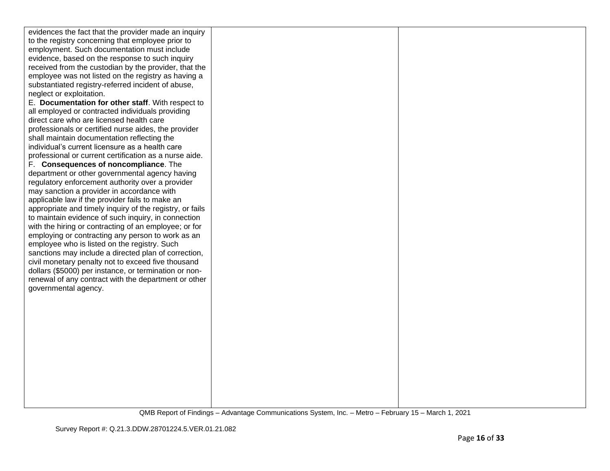| evidences the fact that the provider made an inquiry<br>to the registry concerning that employee prior to<br>employment. Such documentation must include<br>evidence, based on the response to such inquiry<br>received from the custodian by the provider, that the<br>employee was not listed on the registry as having a<br>substantiated registry-referred incident of abuse,<br>neglect or exploitation.<br>E. Documentation for other staff. With respect to<br>all employed or contracted individuals providing<br>direct care who are licensed health care<br>professionals or certified nurse aides, the provider<br>shall maintain documentation reflecting the<br>individual's current licensure as a health care<br>professional or current certification as a nurse aide.<br>F. Consequences of noncompliance. The<br>department or other governmental agency having<br>regulatory enforcement authority over a provider<br>may sanction a provider in accordance with<br>applicable law if the provider fails to make an<br>appropriate and timely inquiry of the registry, or fails<br>to maintain evidence of such inquiry, in connection<br>with the hiring or contracting of an employee; or for<br>employing or contracting any person to work as an<br>employee who is listed on the registry. Such<br>sanctions may include a directed plan of correction,<br>civil monetary penalty not to exceed five thousand<br>dollars (\$5000) per instance, or termination or non-<br>renewal of any contract with the department or other<br>governmental agency. |  |
|--------------------------------------------------------------------------------------------------------------------------------------------------------------------------------------------------------------------------------------------------------------------------------------------------------------------------------------------------------------------------------------------------------------------------------------------------------------------------------------------------------------------------------------------------------------------------------------------------------------------------------------------------------------------------------------------------------------------------------------------------------------------------------------------------------------------------------------------------------------------------------------------------------------------------------------------------------------------------------------------------------------------------------------------------------------------------------------------------------------------------------------------------------------------------------------------------------------------------------------------------------------------------------------------------------------------------------------------------------------------------------------------------------------------------------------------------------------------------------------------------------------------------------------------------------------------------------|--|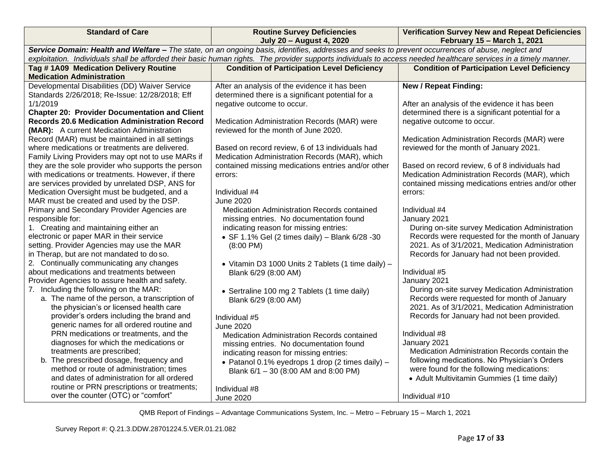| <b>Standard of Care</b>                                                                                                                                                                                                                                                                                               | <b>Routine Survey Deficiencies</b><br><b>July 20 - August 4, 2020</b> | <b>Verification Survey New and Repeat Deficiencies</b><br>February 15 - March 1, 2021 |  |  |  |
|-----------------------------------------------------------------------------------------------------------------------------------------------------------------------------------------------------------------------------------------------------------------------------------------------------------------------|-----------------------------------------------------------------------|---------------------------------------------------------------------------------------|--|--|--|
| Service Domain: Health and Welfare - The state, on an ongoing basis, identifies, addresses and seeks to prevent occurrences of abuse, neglect and<br>exploitation. Individuals shall be afforded their basic human rights. The provider supports individuals to access needed healthcare services in a timely manner. |                                                                       |                                                                                       |  |  |  |
|                                                                                                                                                                                                                                                                                                                       |                                                                       |                                                                                       |  |  |  |
| Tag # 1A09 Medication Delivery Routine<br><b>Medication Administration</b>                                                                                                                                                                                                                                            | <b>Condition of Participation Level Deficiency</b>                    | <b>Condition of Participation Level Deficiency</b>                                    |  |  |  |
| Developmental Disabilities (DD) Waiver Service                                                                                                                                                                                                                                                                        | After an analysis of the evidence it has been                         | <b>New / Repeat Finding:</b>                                                          |  |  |  |
| Standards 2/26/2018; Re-Issue: 12/28/2018; Eff                                                                                                                                                                                                                                                                        | determined there is a significant potential for a                     |                                                                                       |  |  |  |
| 1/1/2019                                                                                                                                                                                                                                                                                                              | negative outcome to occur.                                            | After an analysis of the evidence it has been                                         |  |  |  |
| <b>Chapter 20: Provider Documentation and Client</b>                                                                                                                                                                                                                                                                  |                                                                       | determined there is a significant potential for a                                     |  |  |  |
| <b>Records 20.6 Medication Administration Record</b>                                                                                                                                                                                                                                                                  | Medication Administration Records (MAR) were                          | negative outcome to occur.                                                            |  |  |  |
| (MAR): A current Medication Administration                                                                                                                                                                                                                                                                            | reviewed for the month of June 2020.                                  |                                                                                       |  |  |  |
| Record (MAR) must be maintained in all settings                                                                                                                                                                                                                                                                       |                                                                       | Medication Administration Records (MAR) were                                          |  |  |  |
| where medications or treatments are delivered.                                                                                                                                                                                                                                                                        | Based on record review, 6 of 13 individuals had                       | reviewed for the month of January 2021.                                               |  |  |  |
| Family Living Providers may opt not to use MARs if                                                                                                                                                                                                                                                                    | Medication Administration Records (MAR), which                        |                                                                                       |  |  |  |
| they are the sole provider who supports the person                                                                                                                                                                                                                                                                    | contained missing medications entries and/or other                    | Based on record review, 6 of 8 individuals had                                        |  |  |  |
| with medications or treatments. However, if there                                                                                                                                                                                                                                                                     | errors:                                                               | Medication Administration Records (MAR), which                                        |  |  |  |
| are services provided by unrelated DSP, ANS for                                                                                                                                                                                                                                                                       |                                                                       | contained missing medications entries and/or other                                    |  |  |  |
| Medication Oversight must be budgeted, and a                                                                                                                                                                                                                                                                          | Individual #4                                                         | errors:                                                                               |  |  |  |
| MAR must be created and used by the DSP.                                                                                                                                                                                                                                                                              | <b>June 2020</b>                                                      |                                                                                       |  |  |  |
| Primary and Secondary Provider Agencies are                                                                                                                                                                                                                                                                           | Medication Administration Records contained                           | Individual #4                                                                         |  |  |  |
| responsible for:                                                                                                                                                                                                                                                                                                      | missing entries. No documentation found                               | January 2021                                                                          |  |  |  |
| 1. Creating and maintaining either an                                                                                                                                                                                                                                                                                 | indicating reason for missing entries:                                | During on-site survey Medication Administration                                       |  |  |  |
| electronic or paper MAR in their service                                                                                                                                                                                                                                                                              | • SF 1.1% Gel (2 times daily) - Blank 6/28 -30                        | Records were requested for the month of January                                       |  |  |  |
| setting. Provider Agencies may use the MAR                                                                                                                                                                                                                                                                            | $(8:00 \text{ PM})$                                                   | 2021. As of 3/1/2021, Medication Administration                                       |  |  |  |
| in Therap, but are not mandated to do so.                                                                                                                                                                                                                                                                             |                                                                       | Records for January had not been provided.                                            |  |  |  |
| 2. Continually communicating any changes                                                                                                                                                                                                                                                                              | • Vitamin D3 1000 Units 2 Tablets (1 time daily) -                    |                                                                                       |  |  |  |
| about medications and treatments between                                                                                                                                                                                                                                                                              | Blank 6/29 (8:00 AM)                                                  | Individual #5                                                                         |  |  |  |
| Provider Agencies to assure health and safety.                                                                                                                                                                                                                                                                        |                                                                       | January 2021                                                                          |  |  |  |
| 7. Including the following on the MAR:                                                                                                                                                                                                                                                                                | • Sertraline 100 mg 2 Tablets (1 time daily)                          | During on-site survey Medication Administration                                       |  |  |  |
| a. The name of the person, a transcription of                                                                                                                                                                                                                                                                         | Blank 6/29 (8:00 AM)                                                  | Records were requested for month of January                                           |  |  |  |
| the physician's or licensed health care                                                                                                                                                                                                                                                                               |                                                                       | 2021. As of 3/1/2021, Medication Administration                                       |  |  |  |
| provider's orders including the brand and                                                                                                                                                                                                                                                                             | Individual #5                                                         | Records for January had not been provided.                                            |  |  |  |
| generic names for all ordered routine and                                                                                                                                                                                                                                                                             | <b>June 2020</b>                                                      |                                                                                       |  |  |  |
| PRN medications or treatments, and the                                                                                                                                                                                                                                                                                | Medication Administration Records contained                           | Individual #8                                                                         |  |  |  |
| diagnoses for which the medications or                                                                                                                                                                                                                                                                                | missing entries. No documentation found                               | January 2021                                                                          |  |  |  |
| treatments are prescribed;                                                                                                                                                                                                                                                                                            | indicating reason for missing entries:                                | Medication Administration Records contain the                                         |  |  |  |
| b. The prescribed dosage, frequency and                                                                                                                                                                                                                                                                               | • Patanol 0.1% eyedrops 1 drop (2 times daily) -                      | following medications. No Physician's Orders                                          |  |  |  |
| method or route of administration; times                                                                                                                                                                                                                                                                              | Blank 6/1 - 30 (8:00 AM and 8:00 PM)                                  | were found for the following medications:                                             |  |  |  |
| and dates of administration for all ordered                                                                                                                                                                                                                                                                           |                                                                       | • Adult Multivitamin Gummies (1 time daily)                                           |  |  |  |
| routine or PRN prescriptions or treatments;                                                                                                                                                                                                                                                                           | Individual #8                                                         |                                                                                       |  |  |  |
| over the counter (OTC) or "comfort"                                                                                                                                                                                                                                                                                   | <b>June 2020</b>                                                      | Individual #10                                                                        |  |  |  |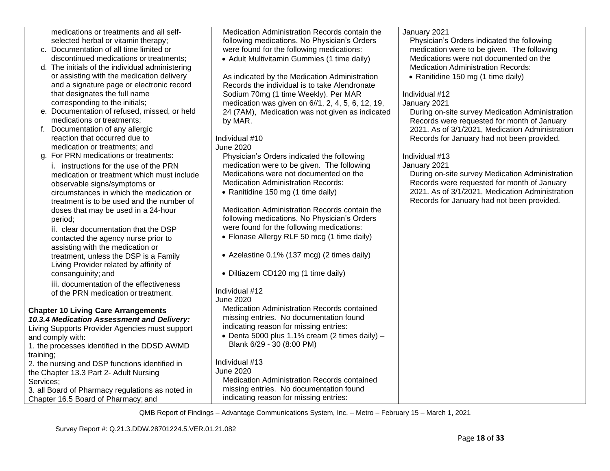| medications or treatments and all self-          | Medication Administration Records contain the      | January 2021                                    |
|--------------------------------------------------|----------------------------------------------------|-------------------------------------------------|
| selected herbal or vitamin therapy;              | following medications. No Physician's Orders       | Physician's Orders indicated the following      |
| c. Documentation of all time limited or          | were found for the following medications:          | medication were to be given. The following      |
| discontinued medications or treatments;          | • Adult Multivitamin Gummies (1 time daily)        | Medications were not documented on the          |
| d. The initials of the individual administering  |                                                    | <b>Medication Administration Records:</b>       |
| or assisting with the medication delivery        | As indicated by the Medication Administration      | • Ranitidine 150 mg (1 time daily)              |
| and a signature page or electronic record        | Records the individual is to take Alendronate      |                                                 |
| that designates the full name                    | Sodium 70mg (1 time Weekly). Per MAR               | Individual #12                                  |
| corresponding to the initials;                   | medication was given on 6//1, 2, 4, 5, 6, 12, 19,  | January 2021                                    |
| e. Documentation of refused, missed, or held     | 24 (7AM), Medication was not given as indicated    | During on-site survey Medication Administration |
| medications or treatments;                       | by MAR.                                            | Records were requested for month of January     |
| Documentation of any allergic<br>t.              |                                                    | 2021. As of 3/1/2021, Medication Administration |
| reaction that occurred due to                    | Individual #10                                     | Records for January had not been provided.      |
| medication or treatments; and                    | <b>June 2020</b>                                   |                                                 |
| g. For PRN medications or treatments:            | Physician's Orders indicated the following         | Individual #13                                  |
| i. instructions for the use of the PRN           | medication were to be given. The following         | January 2021                                    |
| medication or treatment which must include       | Medications were not documented on the             | During on-site survey Medication Administration |
| observable signs/symptoms or                     | <b>Medication Administration Records:</b>          | Records were requested for month of January     |
| circumstances in which the medication or         | • Ranitidine 150 mg (1 time daily)                 | 2021. As of 3/1/2021, Medication Administration |
| treatment is to be used and the number of        |                                                    | Records for January had not been provided.      |
| doses that may be used in a 24-hour              | Medication Administration Records contain the      |                                                 |
| period;                                          | following medications. No Physician's Orders       |                                                 |
| ii. clear documentation that the DSP             | were found for the following medications:          |                                                 |
| contacted the agency nurse prior to              | • Flonase Allergy RLF 50 mcg (1 time daily)        |                                                 |
| assisting with the medication or                 |                                                    |                                                 |
| treatment, unless the DSP is a Family            | • Azelastine 0.1% (137 mcg) (2 times daily)        |                                                 |
| Living Provider related by affinity of           |                                                    |                                                 |
| consanguinity; and                               | • Diltiazem CD120 mg (1 time daily)                |                                                 |
| iii. documentation of the effectiveness          |                                                    |                                                 |
| of the PRN medication or treatment.              | Individual #12                                     |                                                 |
|                                                  | June 2020                                          |                                                 |
| <b>Chapter 10 Living Care Arrangements</b>       | <b>Medication Administration Records contained</b> |                                                 |
| 10.3.4 Medication Assessment and Delivery:       | missing entries. No documentation found            |                                                 |
| Living Supports Provider Agencies must support   | indicating reason for missing entries:             |                                                 |
| and comply with:                                 | • Denta 5000 plus 1.1% cream (2 times daily) $-$   |                                                 |
| 1. the processes identified in the DDSD AWMD     | Blank 6/29 - 30 (8:00 PM)                          |                                                 |
| training;                                        |                                                    |                                                 |
| 2. the nursing and DSP functions identified in   | Individual #13                                     |                                                 |
| the Chapter 13.3 Part 2- Adult Nursing           | <b>June 2020</b>                                   |                                                 |
| Services;                                        | Medication Administration Records contained        |                                                 |
| 3. all Board of Pharmacy regulations as noted in | missing entries. No documentation found            |                                                 |
| Chapter 16.5 Board of Pharmacy; and              | indicating reason for missing entries:             |                                                 |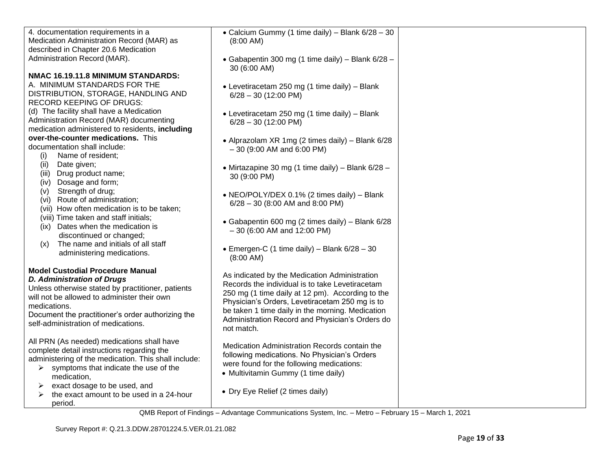| 4. documentation requirements in a                   | • Calcium Gummy (1 time daily) - Blank 6/28 - 30                                             |  |
|------------------------------------------------------|----------------------------------------------------------------------------------------------|--|
| Medication Administration Record (MAR) as            | $(8:00$ AM)                                                                                  |  |
| described in Chapter 20.6 Medication                 |                                                                                              |  |
| Administration Record (MAR).                         | • Gabapentin 300 mg (1 time daily) - Blank 6/28 -                                            |  |
|                                                      | 30 (6:00 AM)                                                                                 |  |
| NMAC 16.19.11.8 MINIMUM STANDARDS:                   |                                                                                              |  |
| A. MINIMUM STANDARDS FOR THE                         | • Levetiracetam 250 mg (1 time daily) - Blank                                                |  |
| DISTRIBUTION, STORAGE, HANDLING AND                  | $6/28 - 30$ (12:00 PM)                                                                       |  |
| RECORD KEEPING OF DRUGS:                             |                                                                                              |  |
| (d) The facility shall have a Medication             | • Levetiracetam 250 mg (1 time daily) - Blank                                                |  |
| Administration Record (MAR) documenting              | $6/28 - 30$ (12:00 PM)                                                                       |  |
| medication administered to residents, including      |                                                                                              |  |
| over-the-counter medications. This                   | • Alprazolam XR 1mg (2 times daily) - Blank 6/28                                             |  |
| documentation shall include:                         | $-30$ (9:00 AM and 6:00 PM)                                                                  |  |
| Name of resident;<br>(i)                             |                                                                                              |  |
| Date given;<br>(ii)                                  | • Mirtazapine 30 mg (1 time daily) – Blank $6/28$ –                                          |  |
| (iii) Drug product name;                             | 30 (9:00 PM)                                                                                 |  |
| Dosage and form;<br>(iv)                             |                                                                                              |  |
| Strength of drug;<br>(v)                             | • NEO/POLY/DEX 0.1% (2 times daily) - Blank                                                  |  |
| (vi) Route of administration;                        | $6/28 - 30$ (8:00 AM and 8:00 PM)                                                            |  |
| (vii) How often medication is to be taken;           |                                                                                              |  |
| (viii) Time taken and staff initials;                | • Gabapentin 600 mg (2 times daily) - Blank 6/28                                             |  |
| (ix) Dates when the medication is                    | $-30$ (6:00 AM and 12:00 PM)                                                                 |  |
| discontinued or changed;                             |                                                                                              |  |
| The name and initials of all staff<br>(x)            | • Emergen-C (1 time daily) – Blank $6/28 - 30$                                               |  |
| administering medications.                           | $(8:00 \text{ AM})$                                                                          |  |
|                                                      |                                                                                              |  |
| <b>Model Custodial Procedure Manual</b>              | As indicated by the Medication Administration                                                |  |
| <b>D. Administration of Drugs</b>                    | Records the individual is to take Levetiracetam                                              |  |
| Unless otherwise stated by practitioner, patients    | 250 mg (1 time daily at 12 pm). According to the                                             |  |
| will not be allowed to administer their own          | Physician's Orders, Levetiracetam 250 mg is to                                               |  |
| medications.                                         | be taken 1 time daily in the morning. Medication                                             |  |
| Document the practitioner's order authorizing the    | Administration Record and Physician's Orders do                                              |  |
| self-administration of medications.                  | not match.                                                                                   |  |
|                                                      |                                                                                              |  |
| All PRN (As needed) medications shall have           | Medication Administration Records contain the                                                |  |
| complete detail instructions regarding the           | following medications. No Physician's Orders                                                 |  |
| administering of the medication. This shall include: | were found for the following medications:                                                    |  |
| symptoms that indicate the use of the<br>➤           | • Multivitamin Gummy (1 time daily)                                                          |  |
| medication,                                          |                                                                                              |  |
| exact dosage to be used, and<br>➤                    | • Dry Eye Relief (2 times daily)                                                             |  |
| the exact amount to be used in a 24-hour<br>➤        |                                                                                              |  |
| period.                                              | OMP Report of Findings Adventage Communications System Inc. Matre Echryson, 45 March 4, 2004 |  |
|                                                      |                                                                                              |  |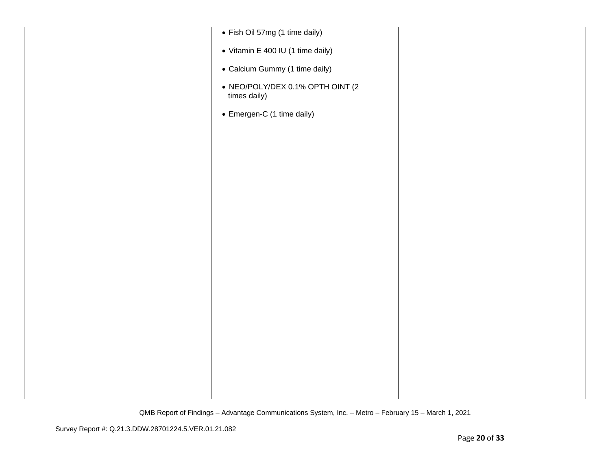| • Fish Oil 57mg (1 time daily)                   |  |
|--------------------------------------------------|--|
| • Vitamin E 400 IU (1 time daily)                |  |
| • Calcium Gummy (1 time daily)                   |  |
| • NEO/POLY/DEX 0.1% OPTH OINT (2<br>times daily) |  |
| • Emergen-C (1 time daily)                       |  |
|                                                  |  |
|                                                  |  |
|                                                  |  |
|                                                  |  |
|                                                  |  |
|                                                  |  |
|                                                  |  |
|                                                  |  |
|                                                  |  |
|                                                  |  |
|                                                  |  |
|                                                  |  |
|                                                  |  |
|                                                  |  |
|                                                  |  |
|                                                  |  |
|                                                  |  |
|                                                  |  |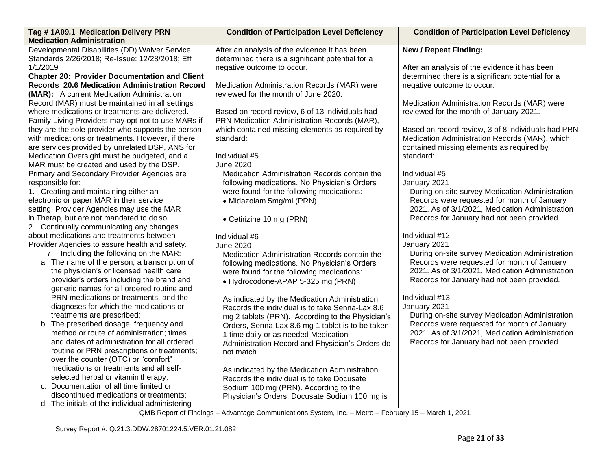| Tag #1A09.1 Medication Delivery PRN                  | <b>Condition of Participation Level Deficiency</b> | <b>Condition of Participation Level Deficiency</b> |
|------------------------------------------------------|----------------------------------------------------|----------------------------------------------------|
| <b>Medication Administration</b>                     |                                                    |                                                    |
| Developmental Disabilities (DD) Waiver Service       | After an analysis of the evidence it has been      | <b>New / Repeat Finding:</b>                       |
| Standards 2/26/2018; Re-Issue: 12/28/2018; Eff       | determined there is a significant potential for a  |                                                    |
| 1/1/2019                                             | negative outcome to occur.                         | After an analysis of the evidence it has been      |
| <b>Chapter 20: Provider Documentation and Client</b> |                                                    | determined there is a significant potential for a  |
| <b>Records 20.6 Medication Administration Record</b> | Medication Administration Records (MAR) were       | negative outcome to occur.                         |
| (MAR): A current Medication Administration           | reviewed for the month of June 2020.               |                                                    |
| Record (MAR) must be maintained in all settings      |                                                    | Medication Administration Records (MAR) were       |
| where medications or treatments are delivered.       | Based on record review, 6 of 13 individuals had    | reviewed for the month of January 2021.            |
| Family Living Providers may opt not to use MARs if   | PRN Medication Administration Records (MAR),       |                                                    |
| they are the sole provider who supports the person   | which contained missing elements as required by    | Based on record review, 3 of 8 individuals had PRN |
| with medications or treatments. However, if there    | standard:                                          | Medication Administration Records (MAR), which     |
| are services provided by unrelated DSP, ANS for      |                                                    | contained missing elements as required by          |
| Medication Oversight must be budgeted, and a         | Individual #5                                      | standard:                                          |
| MAR must be created and used by the DSP.             | <b>June 2020</b>                                   |                                                    |
| Primary and Secondary Provider Agencies are          | Medication Administration Records contain the      | Individual #5                                      |
| responsible for:                                     | following medications. No Physician's Orders       | January 2021                                       |
| 1. Creating and maintaining either an                | were found for the following medications:          | During on-site survey Medication Administration    |
| electronic or paper MAR in their service             | • Midazolam 5mg/ml (PRN)                           | Records were requested for month of January        |
| setting. Provider Agencies may use the MAR           |                                                    | 2021. As of 3/1/2021, Medication Administration    |
| in Therap, but are not mandated to do so.            | • Cetirizine 10 mg (PRN)                           | Records for January had not been provided.         |
| 2. Continually communicating any changes             |                                                    |                                                    |
| about medications and treatments between             | Individual #6                                      | Individual #12                                     |
| Provider Agencies to assure health and safety.       | <b>June 2020</b>                                   | January 2021                                       |
| 7. Including the following on the MAR:               | Medication Administration Records contain the      | During on-site survey Medication Administration    |
| a. The name of the person, a transcription of        | following medications. No Physician's Orders       | Records were requested for month of January        |
| the physician's or licensed health care              | were found for the following medications:          | 2021. As of 3/1/2021, Medication Administration    |
| provider's orders including the brand and            | • Hydrocodone-APAP 5-325 mg (PRN)                  | Records for January had not been provided.         |
| generic names for all ordered routine and            |                                                    |                                                    |
| PRN medications or treatments, and the               | As indicated by the Medication Administration      | Individual #13                                     |
| diagnoses for which the medications or               | Records the individual is to take Senna-Lax 8.6    | January 2021                                       |
| treatments are prescribed;                           | mg 2 tablets (PRN). According to the Physician's   | During on-site survey Medication Administration    |
| b. The prescribed dosage, frequency and              | Orders, Senna-Lax 8.6 mg 1 tablet is to be taken   | Records were requested for month of January        |
| method or route of administration; times             | 1 time daily or as needed Medication               | 2021. As of 3/1/2021, Medication Administration    |
| and dates of administration for all ordered          | Administration Record and Physician's Orders do    | Records for January had not been provided.         |
| routine or PRN prescriptions or treatments;          | not match.                                         |                                                    |
| over the counter (OTC) or "comfort"                  |                                                    |                                                    |
| medications or treatments and all self-              | As indicated by the Medication Administration      |                                                    |
| selected herbal or vitamin therapy;                  | Records the individual is to take Docusate         |                                                    |
| c. Documentation of all time limited or              | Sodium 100 mg (PRN). According to the              |                                                    |
| discontinued medications or treatments;              | Physician's Orders, Docusate Sodium 100 mg is      |                                                    |
| d. The initials of the individual administering      |                                                    |                                                    |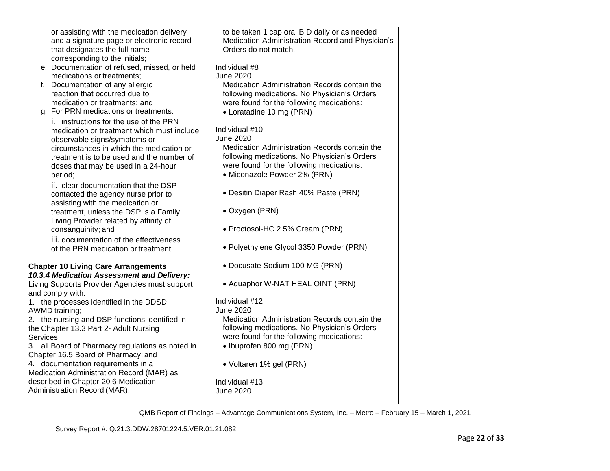| or assisting with the medication delivery                                | to be taken 1 cap oral BID daily or as needed    |  |
|--------------------------------------------------------------------------|--------------------------------------------------|--|
| and a signature page or electronic record                                | Medication Administration Record and Physician's |  |
| that designates the full name                                            | Orders do not match.                             |  |
| corresponding to the initials;                                           |                                                  |  |
| e. Documentation of refused, missed, or held                             | Individual #8                                    |  |
| medications or treatments;                                               | <b>June 2020</b>                                 |  |
| Documentation of any allergic<br>f.                                      | Medication Administration Records contain the    |  |
| reaction that occurred due to                                            | following medications. No Physician's Orders     |  |
| medication or treatments; and                                            | were found for the following medications:        |  |
| g. For PRN medications or treatments:                                    | • Loratadine 10 mg (PRN)                         |  |
| i. instructions for the use of the PRN                                   |                                                  |  |
| medication or treatment which must include                               | Individual #10                                   |  |
|                                                                          | <b>June 2020</b>                                 |  |
| observable signs/symptoms or<br>circumstances in which the medication or | Medication Administration Records contain the    |  |
| treatment is to be used and the number of                                | following medications. No Physician's Orders     |  |
|                                                                          | were found for the following medications:        |  |
| doses that may be used in a 24-hour                                      |                                                  |  |
| period;                                                                  | • Miconazole Powder 2% (PRN)                     |  |
| ii. clear documentation that the DSP                                     |                                                  |  |
| contacted the agency nurse prior to                                      | • Desitin Diaper Rash 40% Paste (PRN)            |  |
| assisting with the medication or                                         |                                                  |  |
| treatment, unless the DSP is a Family                                    | • Oxygen (PRN)                                   |  |
| Living Provider related by affinity of                                   |                                                  |  |
| consanguinity; and                                                       | • Proctosol-HC 2.5% Cream (PRN)                  |  |
| iii. documentation of the effectiveness                                  |                                                  |  |
| of the PRN medication or treatment.                                      | • Polyethylene Glycol 3350 Powder (PRN)          |  |
|                                                                          |                                                  |  |
| <b>Chapter 10 Living Care Arrangements</b>                               | • Docusate Sodium 100 MG (PRN)                   |  |
| 10.3.4 Medication Assessment and Delivery:                               |                                                  |  |
| Living Supports Provider Agencies must support                           | • Aquaphor W-NAT HEAL OINT (PRN)                 |  |
| and comply with:                                                         |                                                  |  |
| 1. the processes identified in the DDSD                                  | Individual #12                                   |  |
| AWMD training;                                                           | <b>June 2020</b>                                 |  |
| 2. the nursing and DSP functions identified in                           | Medication Administration Records contain the    |  |
|                                                                          | following medications. No Physician's Orders     |  |
| the Chapter 13.3 Part 2- Adult Nursing                                   |                                                  |  |
| Services;                                                                | were found for the following medications:        |  |
| 3. all Board of Pharmacy regulations as noted in                         | • Ibuprofen 800 mg (PRN)                         |  |
| Chapter 16.5 Board of Pharmacy; and                                      |                                                  |  |
| 4. documentation requirements in a                                       | • Voltaren 1% gel (PRN)                          |  |
| Medication Administration Record (MAR) as                                |                                                  |  |
| described in Chapter 20.6 Medication                                     | Individual #13                                   |  |
| Administration Record (MAR).                                             | <b>June 2020</b>                                 |  |
|                                                                          |                                                  |  |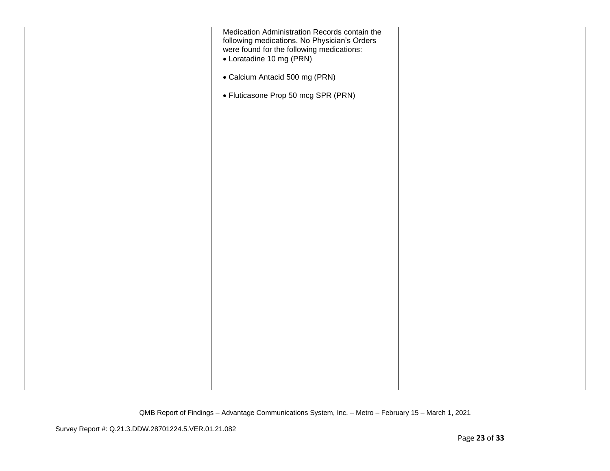| Medication Administration Records contain the |  |
|-----------------------------------------------|--|
| following medications. No Physician's Orders  |  |
| were found for the following medications:     |  |
|                                               |  |
| • Loratadine 10 mg (PRN)                      |  |
|                                               |  |
| • Calcium Antacid 500 mg (PRN)                |  |
|                                               |  |
|                                               |  |
| • Fluticasone Prop 50 mcg SPR (PRN)           |  |
|                                               |  |
|                                               |  |
|                                               |  |
|                                               |  |
|                                               |  |
|                                               |  |
|                                               |  |
|                                               |  |
|                                               |  |
|                                               |  |
|                                               |  |
|                                               |  |
|                                               |  |
|                                               |  |
|                                               |  |
|                                               |  |
|                                               |  |
|                                               |  |
|                                               |  |
|                                               |  |
|                                               |  |
|                                               |  |
|                                               |  |
|                                               |  |
|                                               |  |
|                                               |  |
|                                               |  |
|                                               |  |
|                                               |  |
|                                               |  |
|                                               |  |
|                                               |  |
|                                               |  |
|                                               |  |
|                                               |  |
|                                               |  |
|                                               |  |
|                                               |  |
|                                               |  |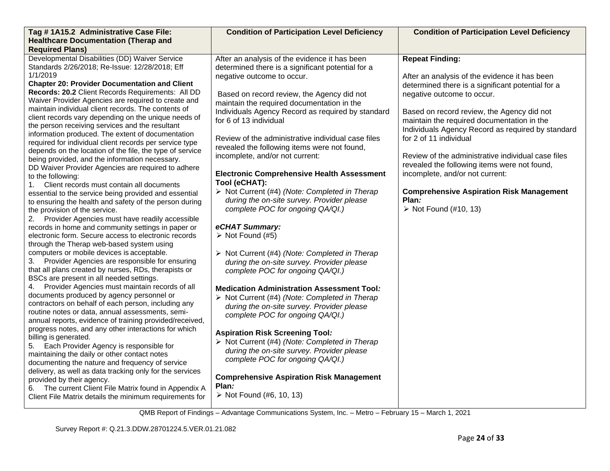| Tag # 1A15.2 Administrative Case File:                                                                                                                                                                                                                                                                                                                                                                                                                                                                                                                                                                                                                                                                                                                                                                                                                                                                                                                                                                                                                                                                                                                                                                                                                                                                                                                                                                                                                                                                                                                                                                                                                                                                                                                                                                                                                                                                                                                                                                                                                                                                        | <b>Condition of Participation Level Deficiency</b>                                                                                                                                                                                                                                                                                                                                                                                                                                                                                                                                                                                                                                                                                                                                                                                                                                                                                                                                                                                                                                                                                                                                                                                                                                                                                                 | <b>Condition of Participation Level Deficiency</b>                                                                                                                                                                                                                                                                                                                                                                                                                                                                                                                                 |
|---------------------------------------------------------------------------------------------------------------------------------------------------------------------------------------------------------------------------------------------------------------------------------------------------------------------------------------------------------------------------------------------------------------------------------------------------------------------------------------------------------------------------------------------------------------------------------------------------------------------------------------------------------------------------------------------------------------------------------------------------------------------------------------------------------------------------------------------------------------------------------------------------------------------------------------------------------------------------------------------------------------------------------------------------------------------------------------------------------------------------------------------------------------------------------------------------------------------------------------------------------------------------------------------------------------------------------------------------------------------------------------------------------------------------------------------------------------------------------------------------------------------------------------------------------------------------------------------------------------------------------------------------------------------------------------------------------------------------------------------------------------------------------------------------------------------------------------------------------------------------------------------------------------------------------------------------------------------------------------------------------------------------------------------------------------------------------------------------------------|----------------------------------------------------------------------------------------------------------------------------------------------------------------------------------------------------------------------------------------------------------------------------------------------------------------------------------------------------------------------------------------------------------------------------------------------------------------------------------------------------------------------------------------------------------------------------------------------------------------------------------------------------------------------------------------------------------------------------------------------------------------------------------------------------------------------------------------------------------------------------------------------------------------------------------------------------------------------------------------------------------------------------------------------------------------------------------------------------------------------------------------------------------------------------------------------------------------------------------------------------------------------------------------------------------------------------------------------------|------------------------------------------------------------------------------------------------------------------------------------------------------------------------------------------------------------------------------------------------------------------------------------------------------------------------------------------------------------------------------------------------------------------------------------------------------------------------------------------------------------------------------------------------------------------------------------|
| <b>Healthcare Documentation (Therap and</b><br><b>Required Plans)</b>                                                                                                                                                                                                                                                                                                                                                                                                                                                                                                                                                                                                                                                                                                                                                                                                                                                                                                                                                                                                                                                                                                                                                                                                                                                                                                                                                                                                                                                                                                                                                                                                                                                                                                                                                                                                                                                                                                                                                                                                                                         |                                                                                                                                                                                                                                                                                                                                                                                                                                                                                                                                                                                                                                                                                                                                                                                                                                                                                                                                                                                                                                                                                                                                                                                                                                                                                                                                                    |                                                                                                                                                                                                                                                                                                                                                                                                                                                                                                                                                                                    |
| Developmental Disabilities (DD) Waiver Service<br>Standards 2/26/2018; Re-Issue: 12/28/2018; Eff<br>1/1/2019<br><b>Chapter 20: Provider Documentation and Client</b><br>Records: 20.2 Client Records Requirements: All DD<br>Waiver Provider Agencies are required to create and<br>maintain individual client records. The contents of<br>client records vary depending on the unique needs of<br>the person receiving services and the resultant<br>information produced. The extent of documentation<br>required for individual client records per service type<br>depends on the location of the file, the type of service<br>being provided, and the information necessary.<br>DD Waiver Provider Agencies are required to adhere<br>to the following:<br>1. Client records must contain all documents<br>essential to the service being provided and essential<br>to ensuring the health and safety of the person during<br>the provision of the service.<br>2. Provider Agencies must have readily accessible<br>records in home and community settings in paper or<br>electronic form. Secure access to electronic records<br>through the Therap web-based system using<br>computers or mobile devices is acceptable.<br>3. Provider Agencies are responsible for ensuring<br>that all plans created by nurses, RDs, therapists or<br>BSCs are present in all needed settings.<br>4. Provider Agencies must maintain records of all<br>documents produced by agency personnel or<br>contractors on behalf of each person, including any<br>routine notes or data, annual assessments, semi-<br>annual reports, evidence of training provided/received,<br>progress notes, and any other interactions for which<br>billing is generated.<br>5. Each Provider Agency is responsible for<br>maintaining the daily or other contact notes<br>documenting the nature and frequency of service<br>delivery, as well as data tracking only for the services<br>provided by their agency.<br>6. The current Client File Matrix found in Appendix A<br>Client File Matrix details the minimum requirements for | After an analysis of the evidence it has been<br>determined there is a significant potential for a<br>negative outcome to occur.<br>Based on record review, the Agency did not<br>maintain the required documentation in the<br>Individuals Agency Record as required by standard<br>for 6 of 13 individual<br>Review of the administrative individual case files<br>revealed the following items were not found,<br>incomplete, and/or not current:<br><b>Electronic Comprehensive Health Assessment</b><br>Tool (eCHAT):<br>> Not Current (#4) (Note: Completed in Therap<br>during the on-site survey. Provider please<br>complete POC for ongoing QA/QI.)<br>eCHAT Summary:<br>$\triangleright$ Not Found (#5)<br>$\triangleright$ Not Current (#4) (Note: Completed in Therap<br>during the on-site survey. Provider please<br>complete POC for ongoing QA/QI.)<br><b>Medication Administration Assessment Tool:</b><br>> Not Current (#4) (Note: Completed in Therap<br>during the on-site survey. Provider please<br>complete POC for ongoing QA/QI.)<br><b>Aspiration Risk Screening Tool:</b><br>$\triangleright$ Not Current (#4) (Note: Completed in Therap<br>during the on-site survey. Provider please<br>complete POC for ongoing QA/QI.)<br><b>Comprehensive Aspiration Risk Management</b><br>Plan:<br>▶ Not Found $(#6, 10, 13)$ | <b>Repeat Finding:</b><br>After an analysis of the evidence it has been<br>determined there is a significant potential for a<br>negative outcome to occur.<br>Based on record review, the Agency did not<br>maintain the required documentation in the<br>Individuals Agency Record as required by standard<br>for 2 of 11 individual<br>Review of the administrative individual case files<br>revealed the following items were not found,<br>incomplete, and/or not current:<br><b>Comprehensive Aspiration Risk Management</b><br>Plan:<br>$\triangleright$ Not Found (#10, 13) |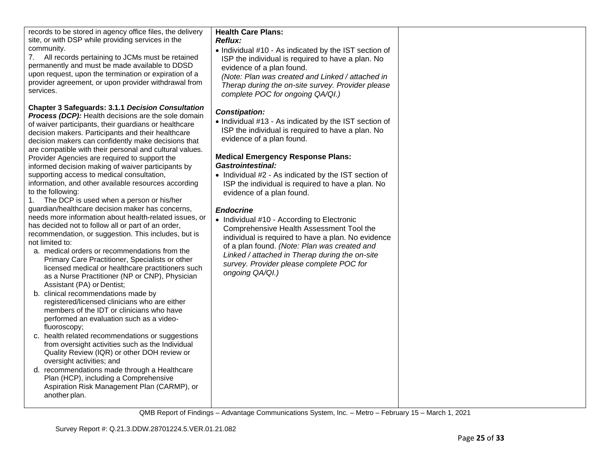| records to be stored in agency office files, the delivery<br>site, or with DSP while providing services in the<br>community.<br>7. All records pertaining to JCMs must be retained<br>permanently and must be made available to DDSD<br>upon request, upon the termination or expiration of a<br>provider agreement, or upon provider withdrawal from<br>services.                                                                                                                                                                                                                                                                                                                                                                                                                                                                                                                                                                                                                                                                                                                                                                                                                                                                                                                                                                                                                                                                                                                                                                                                                                                                                                                | <b>Health Care Plans:</b><br><b>Reflux:</b><br>• Individual #10 - As indicated by the IST section of<br>ISP the individual is required to have a plan. No<br>evidence of a plan found.<br>(Note: Plan was created and Linked / attached in<br>Therap during the on-site survey. Provider please<br>complete POC for ongoing QA/QI.)                                                                                                                                                                                                                                                                                                                                                                                    |  |
|-----------------------------------------------------------------------------------------------------------------------------------------------------------------------------------------------------------------------------------------------------------------------------------------------------------------------------------------------------------------------------------------------------------------------------------------------------------------------------------------------------------------------------------------------------------------------------------------------------------------------------------------------------------------------------------------------------------------------------------------------------------------------------------------------------------------------------------------------------------------------------------------------------------------------------------------------------------------------------------------------------------------------------------------------------------------------------------------------------------------------------------------------------------------------------------------------------------------------------------------------------------------------------------------------------------------------------------------------------------------------------------------------------------------------------------------------------------------------------------------------------------------------------------------------------------------------------------------------------------------------------------------------------------------------------------|------------------------------------------------------------------------------------------------------------------------------------------------------------------------------------------------------------------------------------------------------------------------------------------------------------------------------------------------------------------------------------------------------------------------------------------------------------------------------------------------------------------------------------------------------------------------------------------------------------------------------------------------------------------------------------------------------------------------|--|
| <b>Chapter 3 Safeguards: 3.1.1 Decision Consultation</b><br><b>Process (DCP):</b> Health decisions are the sole domain<br>of waiver participants, their guardians or healthcare<br>decision makers. Participants and their healthcare<br>decision makers can confidently make decisions that<br>are compatible with their personal and cultural values.<br>Provider Agencies are required to support the<br>informed decision making of waiver participants by<br>supporting access to medical consultation,<br>information, and other available resources according<br>to the following:<br>The DCP is used when a person or his/her<br>1.<br>guardian/healthcare decision maker has concerns,<br>needs more information about health-related issues, or<br>has decided not to follow all or part of an order,<br>recommendation, or suggestion. This includes, but is<br>not limited to:<br>a. medical orders or recommendations from the<br>Primary Care Practitioner, Specialists or other<br>licensed medical or healthcare practitioners such<br>as a Nurse Practitioner (NP or CNP), Physician<br>Assistant (PA) or Dentist;<br>b. clinical recommendations made by<br>registered/licensed clinicians who are either<br>members of the IDT or clinicians who have<br>performed an evaluation such as a video-<br>fluoroscopy;<br>c. health related recommendations or suggestions<br>from oversight activities such as the Individual<br>Quality Review (IQR) or other DOH review or<br>oversight activities; and<br>d. recommendations made through a Healthcare<br>Plan (HCP), including a Comprehensive<br>Aspiration Risk Management Plan (CARMP), or<br>another plan. | <b>Constipation:</b><br>• Individual #13 - As indicated by the IST section of<br>ISP the individual is required to have a plan. No<br>evidence of a plan found.<br><b>Medical Emergency Response Plans:</b><br><b>Gastrointestinal:</b><br>• Individual #2 - As indicated by the IST section of<br>ISP the individual is required to have a plan. No<br>evidence of a plan found.<br><b>Endocrine</b><br>• Individual #10 - According to Electronic<br>Comprehensive Health Assessment Tool the<br>individual is required to have a plan. No evidence<br>of a plan found. (Note: Plan was created and<br>Linked / attached in Therap during the on-site<br>survey. Provider please complete POC for<br>ongoing QA/QI.) |  |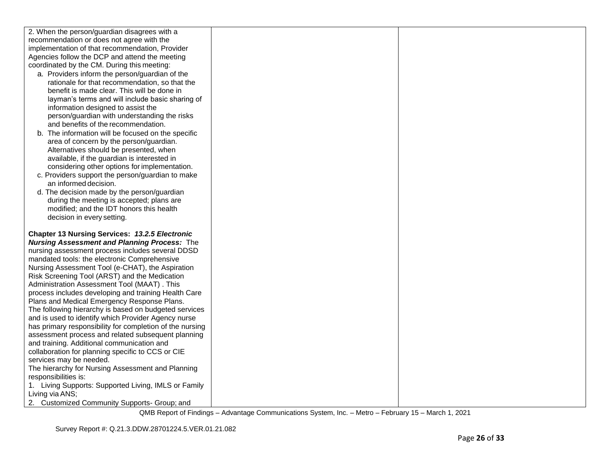| 2. When the person/guardian disagrees with a    |
|-------------------------------------------------|
| recommendation or does not agree with the       |
| implementation of that recommendation, Provider |
| Agencies follow the DCP and attend the meeting  |
| coordinated by the CM. During this meeting:     |

- a. Providers inform the person/guardian of the rationale for that recommendation, so that the benefit is made clear. This will be done in layman's terms and will include basic sharing of information designed to assist the person/guardian with understanding the risks and benefits of the recommendation.
- b. The information will be focused on the specific area of concern by the person/guardian. Alternatives should be presented, when available, if the guardian is interested in considering other options for implementation.
- c. Providers support the person/guardian to make an informed decision.
- d. The decision made by the person/guardian during the meeting is accepted; plans are modified; and the IDT honors this health decision in every setting.

**Chapter 13 Nursing Services:** *13.2.5 Electronic Nursing Assessment and Planning Process:* The nursing assessment process includes several DDSD mandated tools: the electronic Comprehensive Nursing Assessment Tool (e-CHAT), the Aspiration Risk Screening Tool (ARST) and the Medication Administration Assessment Tool (MAAT) . This process includes developing and training Health Care Plans and Medical Emergency Response Plans. The following hierarchy is based on budgeted services and is used to identify which Provider Agency nurse has primary responsibility for completion of the nursing assessment process and related subsequent planning and training. Additional communication and collaboration for planning specific to CCS or CIE services may be needed. The hierarchy for Nursing Assessment and Planning responsibilities is: 1. Living Supports: Supported Living, IMLS or Family Living via ANS; 2. Customized Community Supports- Group; and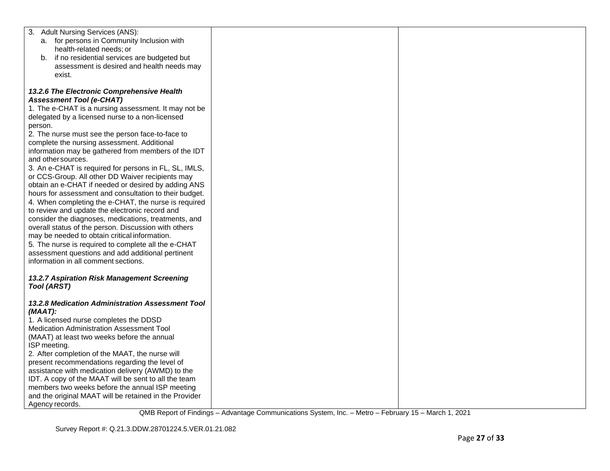| 3. Adult Nursing Services (ANS):                       |  |
|--------------------------------------------------------|--|
| a. for persons in Community Inclusion with             |  |
| health-related needs; or                               |  |
| b. if no residential services are budgeted but         |  |
| assessment is desired and health needs may             |  |
| exist.                                                 |  |
|                                                        |  |
| 13.2.6 The Electronic Comprehensive Health             |  |
| <b>Assessment Tool (e-CHAT)</b>                        |  |
| 1. The e-CHAT is a nursing assessment. It may not be   |  |
| delegated by a licensed nurse to a non-licensed        |  |
|                                                        |  |
| person.                                                |  |
| 2. The nurse must see the person face-to-face to       |  |
| complete the nursing assessment. Additional            |  |
| information may be gathered from members of the IDT    |  |
| and other sources.                                     |  |
| 3. An e-CHAT is required for persons in FL, SL, IMLS,  |  |
| or CCS-Group. All other DD Waiver recipients may       |  |
| obtain an e-CHAT if needed or desired by adding ANS    |  |
| hours for assessment and consultation to their budget. |  |
| 4. When completing the e-CHAT, the nurse is required   |  |
| to review and update the electronic record and         |  |
| consider the diagnoses, medications, treatments, and   |  |
| overall status of the person. Discussion with others   |  |
| may be needed to obtain critical information.          |  |
| 5. The nurse is required to complete all the e-CHAT    |  |
| assessment questions and add additional pertinent      |  |
| information in all comment sections.                   |  |
|                                                        |  |
| 13.2.7 Aspiration Risk Management Screening            |  |
| <b>Tool (ARST)</b>                                     |  |
|                                                        |  |
| 13.2.8 Medication Administration Assessment Tool       |  |
| $(MAAT)$ :                                             |  |
| 1. A licensed nurse completes the DDSD                 |  |
| Medication Administration Assessment Tool              |  |
| (MAAT) at least two weeks before the annual            |  |
| ISP meeting.                                           |  |
| 2. After completion of the MAAT, the nurse will        |  |
| present recommendations regarding the level of         |  |
| assistance with medication delivery (AWMD) to the      |  |
| IDT. A copy of the MAAT will be sent to all the team   |  |
| members two weeks before the annual ISP meeting        |  |
| and the original MAAT will be retained in the Provider |  |
| Agency records.                                        |  |
|                                                        |  |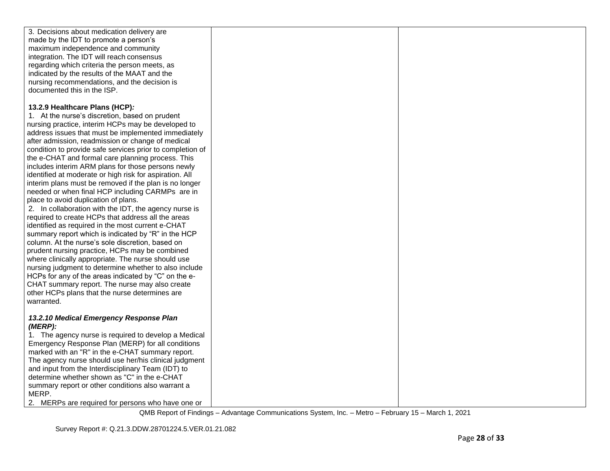| 3. Decisions about medication delivery are                                                             |  |
|--------------------------------------------------------------------------------------------------------|--|
| made by the IDT to promote a person's                                                                  |  |
| maximum independence and community                                                                     |  |
| integration. The IDT will reach consensus                                                              |  |
| regarding which criteria the person meets, as                                                          |  |
| indicated by the results of the MAAT and the                                                           |  |
| nursing recommendations, and the decision is<br>documented this in the ISP.                            |  |
|                                                                                                        |  |
| 13.2.9 Healthcare Plans (HCP):                                                                         |  |
| 1. At the nurse's discretion, based on prudent                                                         |  |
| nursing practice, interim HCPs may be developed to                                                     |  |
| address issues that must be implemented immediately                                                    |  |
| after admission, readmission or change of medical                                                      |  |
| condition to provide safe services prior to completion of                                              |  |
| the e-CHAT and formal care planning process. This                                                      |  |
| includes interim ARM plans for those persons newly                                                     |  |
| identified at moderate or high risk for aspiration. All                                                |  |
| interim plans must be removed if the plan is no longer                                                 |  |
| needed or when final HCP including CARMPs are in                                                       |  |
| place to avoid duplication of plans.                                                                   |  |
| 2. In collaboration with the IDT, the agency nurse is                                                  |  |
| required to create HCPs that address all the areas                                                     |  |
| identified as required in the most current e-CHAT                                                      |  |
| summary report which is indicated by "R" in the HCP                                                    |  |
| column. At the nurse's sole discretion, based on                                                       |  |
| prudent nursing practice, HCPs may be combined                                                         |  |
| where clinically appropriate. The nurse should use                                                     |  |
| nursing judgment to determine whether to also include                                                  |  |
| HCPs for any of the areas indicated by "C" on the e-<br>CHAT summary report. The nurse may also create |  |
| other HCPs plans that the nurse determines are                                                         |  |
| warranted.                                                                                             |  |
|                                                                                                        |  |
| 13.2.10 Medical Emergency Response Plan                                                                |  |
| (MERP):                                                                                                |  |
| 1. The agency nurse is required to develop a Medical                                                   |  |
| Emergency Response Plan (MERP) for all conditions                                                      |  |
| marked with an "R" in the e-CHAT summary report.                                                       |  |
| The agency nurse should use her/his clinical judgment                                                  |  |
| and input from the Interdisciplinary Team (IDT) to                                                     |  |
| determine whether shown as "C" in the e-CHAT                                                           |  |
| summary report or other conditions also warrant a                                                      |  |
| MERP.                                                                                                  |  |
| 2. MERPs are required for persons who have one or                                                      |  |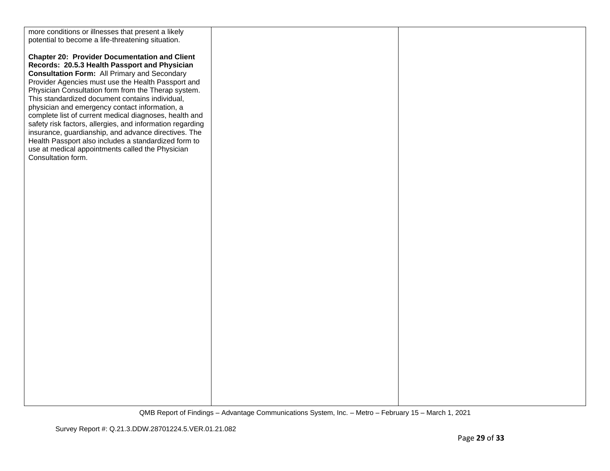more conditions or illnesses that present a likely potential to become a life-threatening situation. **Chapter 20: Provider Documentation and Client Records: 20.5.3 Health Passport and Physician Consultation Form:** All Primary and Secondary Provider Agencies must use the Health Passport and Physician Consultation form from the Therap system. This standardized document contains individual, physician and emergency contact information, a complete list of current medical diagnoses, health and safety risk factors, allergies, and information regarding insurance, guardianship, and advance directives. The Health Passport also includes a standardized form to use at medical appointments called the Physician Consultation form.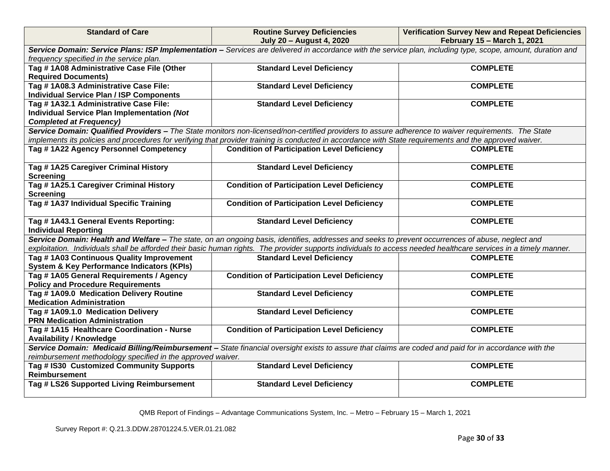| <b>Standard of Care</b>                                                                                                                                                                                                                                                                                               | <b>Routine Survey Deficiencies</b><br><b>July 20 - August 4, 2020</b>                                                                                       | <b>Verification Survey New and Repeat Deficiencies</b><br>February 15 - March 1, 2021 |
|-----------------------------------------------------------------------------------------------------------------------------------------------------------------------------------------------------------------------------------------------------------------------------------------------------------------------|-------------------------------------------------------------------------------------------------------------------------------------------------------------|---------------------------------------------------------------------------------------|
|                                                                                                                                                                                                                                                                                                                       | Service Domain: Service Plans: ISP Implementation - Services are delivered in accordance with the service plan, including type, scope, amount, duration and |                                                                                       |
| frequency specified in the service plan.                                                                                                                                                                                                                                                                              |                                                                                                                                                             |                                                                                       |
| Tag # 1A08 Administrative Case File (Other                                                                                                                                                                                                                                                                            | <b>Standard Level Deficiency</b>                                                                                                                            | <b>COMPLETE</b>                                                                       |
| <b>Required Documents)</b>                                                                                                                                                                                                                                                                                            |                                                                                                                                                             |                                                                                       |
| Tag # 1A08.3 Administrative Case File:                                                                                                                                                                                                                                                                                | <b>Standard Level Deficiency</b>                                                                                                                            | <b>COMPLETE</b>                                                                       |
| <b>Individual Service Plan / ISP Components</b>                                                                                                                                                                                                                                                                       |                                                                                                                                                             |                                                                                       |
| Tag #1A32.1 Administrative Case File:                                                                                                                                                                                                                                                                                 | <b>Standard Level Deficiency</b>                                                                                                                            | <b>COMPLETE</b>                                                                       |
| Individual Service Plan Implementation (Not                                                                                                                                                                                                                                                                           |                                                                                                                                                             |                                                                                       |
| <b>Completed at Frequency)</b>                                                                                                                                                                                                                                                                                        |                                                                                                                                                             |                                                                                       |
|                                                                                                                                                                                                                                                                                                                       | Service Domain: Qualified Providers - The State monitors non-licensed/non-certified providers to assure adherence to waiver requirements. The State         |                                                                                       |
| implements its policies and procedures for verifying that provider training is conducted in accordance with State requirements and the approved waiver.                                                                                                                                                               |                                                                                                                                                             |                                                                                       |
| Tag #1A22 Agency Personnel Competency                                                                                                                                                                                                                                                                                 | <b>Condition of Participation Level Deficiency</b>                                                                                                          | <b>COMPLETE</b>                                                                       |
| Tag #1A25 Caregiver Criminal History                                                                                                                                                                                                                                                                                  | <b>Standard Level Deficiency</b>                                                                                                                            | <b>COMPLETE</b>                                                                       |
| <b>Screening</b>                                                                                                                                                                                                                                                                                                      |                                                                                                                                                             |                                                                                       |
| Tag # 1A25.1 Caregiver Criminal History                                                                                                                                                                                                                                                                               | <b>Condition of Participation Level Deficiency</b>                                                                                                          | <b>COMPLETE</b>                                                                       |
| <b>Screening</b>                                                                                                                                                                                                                                                                                                      |                                                                                                                                                             |                                                                                       |
| Tag # 1A37 Individual Specific Training                                                                                                                                                                                                                                                                               | <b>Condition of Participation Level Deficiency</b>                                                                                                          | <b>COMPLETE</b>                                                                       |
| Tag # 1A43.1 General Events Reporting:                                                                                                                                                                                                                                                                                | <b>Standard Level Deficiency</b>                                                                                                                            | <b>COMPLETE</b>                                                                       |
| <b>Individual Reporting</b>                                                                                                                                                                                                                                                                                           |                                                                                                                                                             |                                                                                       |
| Service Domain: Health and Welfare - The state, on an ongoing basis, identifies, addresses and seeks to prevent occurrences of abuse, neglect and<br>exploitation. Individuals shall be afforded their basic human rights. The provider supports individuals to access needed healthcare services in a timely manner. |                                                                                                                                                             |                                                                                       |
|                                                                                                                                                                                                                                                                                                                       |                                                                                                                                                             |                                                                                       |
| Tag # 1A03 Continuous Quality Improvement                                                                                                                                                                                                                                                                             | <b>Standard Level Deficiency</b>                                                                                                                            | <b>COMPLETE</b>                                                                       |
| <b>System &amp; Key Performance Indicators (KPIs)</b>                                                                                                                                                                                                                                                                 |                                                                                                                                                             |                                                                                       |
| Tag #1A05 General Requirements / Agency                                                                                                                                                                                                                                                                               | <b>Condition of Participation Level Deficiency</b>                                                                                                          | <b>COMPLETE</b>                                                                       |
| <b>Policy and Procedure Requirements</b><br>Tag #1A09.0 Medication Delivery Routine                                                                                                                                                                                                                                   | <b>Standard Level Deficiency</b>                                                                                                                            | <b>COMPLETE</b>                                                                       |
| <b>Medication Administration</b>                                                                                                                                                                                                                                                                                      |                                                                                                                                                             |                                                                                       |
| Tag #1A09.1.0 Medication Delivery                                                                                                                                                                                                                                                                                     | <b>Standard Level Deficiency</b>                                                                                                                            | <b>COMPLETE</b>                                                                       |
| <b>PRN Medication Administration</b>                                                                                                                                                                                                                                                                                  |                                                                                                                                                             |                                                                                       |
| Tag # 1A15 Healthcare Coordination - Nurse                                                                                                                                                                                                                                                                            | <b>Condition of Participation Level Deficiency</b>                                                                                                          | <b>COMPLETE</b>                                                                       |
| <b>Availability / Knowledge</b>                                                                                                                                                                                                                                                                                       |                                                                                                                                                             |                                                                                       |
|                                                                                                                                                                                                                                                                                                                       | Service Domain: Medicaid Billing/Reimbursement - State financial oversight exists to assure that claims are coded and paid for in accordance with the       |                                                                                       |
|                                                                                                                                                                                                                                                                                                                       | reimbursement methodology specified in the approved waiver.                                                                                                 |                                                                                       |
| Tag # IS30 Customized Community Supports                                                                                                                                                                                                                                                                              | <b>Standard Level Deficiency</b>                                                                                                                            | <b>COMPLETE</b>                                                                       |
| <b>Reimbursement</b>                                                                                                                                                                                                                                                                                                  |                                                                                                                                                             |                                                                                       |
| Tag # LS26 Supported Living Reimbursement                                                                                                                                                                                                                                                                             | <b>Standard Level Deficiency</b>                                                                                                                            | <b>COMPLETE</b>                                                                       |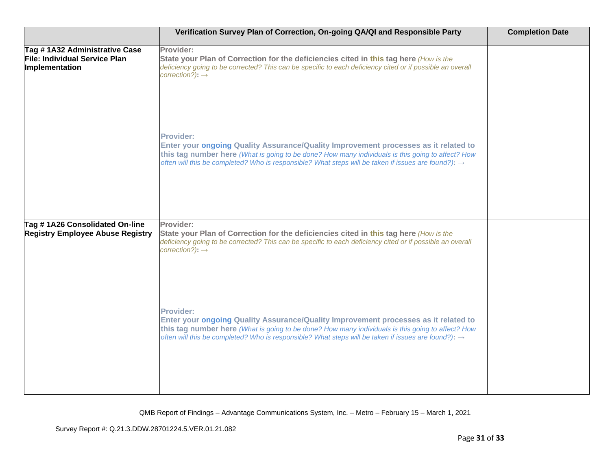|                                                                                  | Verification Survey Plan of Correction, On-going QA/QI and Responsible Party                                                                                                                                                                                                                                                                                      | <b>Completion Date</b> |
|----------------------------------------------------------------------------------|-------------------------------------------------------------------------------------------------------------------------------------------------------------------------------------------------------------------------------------------------------------------------------------------------------------------------------------------------------------------|------------------------|
| Tag #1A32 Administrative Case<br>File: Individual Service Plan<br>Implementation | Provider:<br>State your Plan of Correction for the deficiencies cited in this tag here (How is the<br>deficiency going to be corrected? This can be specific to each deficiency cited or if possible an overall<br>$correction$ ?): $\rightarrow$                                                                                                                 |                        |
|                                                                                  | <b>Provider:</b><br>Enter your ongoing Quality Assurance/Quality Improvement processes as it related to<br>this tag number here (What is going to be done? How many individuals is this going to affect? How<br>often will this be completed? Who is responsible? What steps will be taken if issues are found?): $\rightarrow$                                   |                        |
| Tag #1A26 Consolidated On-line<br><b>Registry Employee Abuse Registry</b>        | Provider:<br>State your Plan of Correction for the deficiencies cited in this tag here (How is the<br>deficiency going to be corrected? This can be specific to each deficiency cited or if possible an overall                                                                                                                                                   |                        |
|                                                                                  | $correction$ ?): $\rightarrow$<br><b>Provider:</b><br>Enter your ongoing Quality Assurance/Quality Improvement processes as it related to<br>this tag number here (What is going to be done? How many individuals is this going to affect? How<br>often will this be completed? Who is responsible? What steps will be taken if issues are found?): $\rightarrow$ |                        |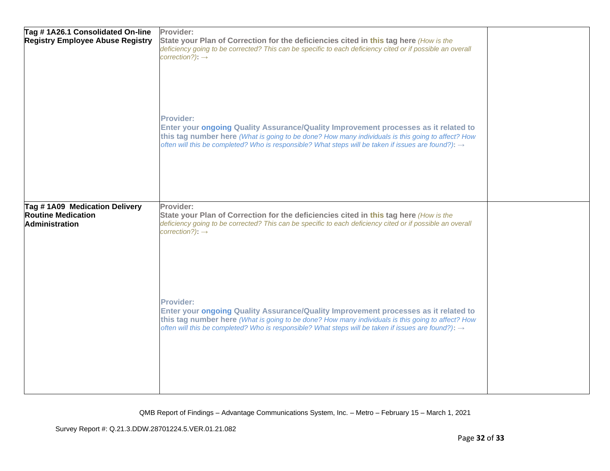| Tag #1A26.1 Consolidated On-line<br><b>Registry Employee Abuse Registry</b>  | Provider:<br>State your Plan of Correction for the deficiencies cited in this tag here (How is the<br>deficiency going to be corrected? This can be specific to each deficiency cited or if possible an overall<br>$correction$ ?): $\rightarrow$<br>Provider:<br>Enter your ongoing Quality Assurance/Quality Improvement processes as it related to |  |
|------------------------------------------------------------------------------|-------------------------------------------------------------------------------------------------------------------------------------------------------------------------------------------------------------------------------------------------------------------------------------------------------------------------------------------------------|--|
|                                                                              | this tag number here (What is going to be done? How many individuals is this going to affect? How<br>often will this be completed? Who is responsible? What steps will be taken if issues are found?): $\rightarrow$                                                                                                                                  |  |
| Tag #1A09 Medication Delivery<br><b>Routine Medication</b><br>Administration | Provider:<br>State your Plan of Correction for the deficiencies cited in this tag here (How is the<br>deficiency going to be corrected? This can be specific to each deficiency cited or if possible an overall<br>$correction$ ?): $\rightarrow$                                                                                                     |  |
|                                                                              | <b>Provider:</b><br>Enter your ongoing Quality Assurance/Quality Improvement processes as it related to<br>this tag number here (What is going to be done? How many individuals is this going to affect? How<br>often will this be completed? Who is responsible? What steps will be taken if issues are found?): $\rightarrow$                       |  |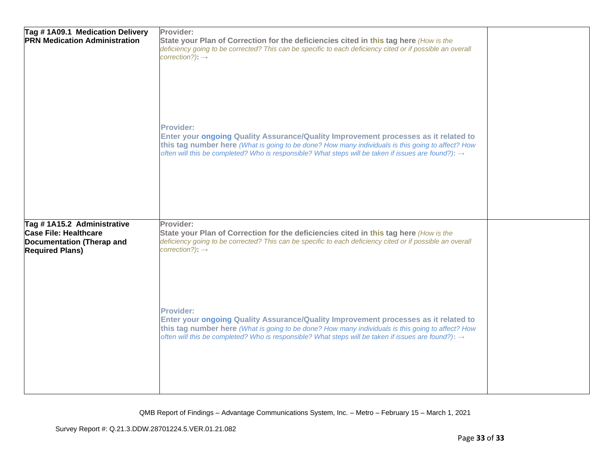| Tag #1A09.1 Medication Delivery<br><b>PRN Medication Administration</b>                                           | Provider:<br>State your Plan of Correction for the deficiencies cited in this tag here (How is the<br>deficiency going to be corrected? This can be specific to each deficiency cited or if possible an overall<br>correction?): $\rightarrow$<br><b>Provider:</b><br>Enter your ongoing Quality Assurance/Quality Improvement processes as it related to<br>this tag number here (What is going to be done? How many individuals is this going to affect? How<br>often will this be completed? Who is responsible? What steps will be taken if issues are found?): $\rightarrow$ |  |
|-------------------------------------------------------------------------------------------------------------------|-----------------------------------------------------------------------------------------------------------------------------------------------------------------------------------------------------------------------------------------------------------------------------------------------------------------------------------------------------------------------------------------------------------------------------------------------------------------------------------------------------------------------------------------------------------------------------------|--|
| Tag #1A15.2 Administrative<br><b>Case File: Healthcare</b><br>Documentation (Therap and<br><b>Required Plans)</b> | Provider:<br>State your Plan of Correction for the deficiencies cited in this tag here (How is the<br>deficiency going to be corrected? This can be specific to each deficiency cited or if possible an overall<br>correction?): $\rightarrow$                                                                                                                                                                                                                                                                                                                                    |  |
|                                                                                                                   | <b>Provider:</b><br>Enter your ongoing Quality Assurance/Quality Improvement processes as it related to<br>this tag number here (What is going to be done? How many individuals is this going to affect? How<br>often will this be completed? Who is responsible? What steps will be taken if issues are found?): $\rightarrow$                                                                                                                                                                                                                                                   |  |